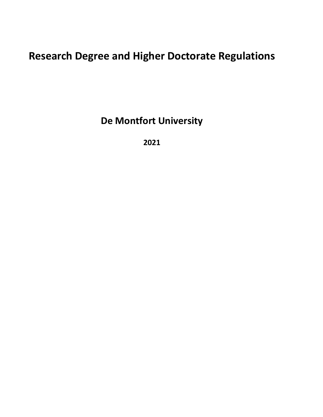# **Research Degree and Higher Doctorate Regulations**

**De Montfort University**

**2021**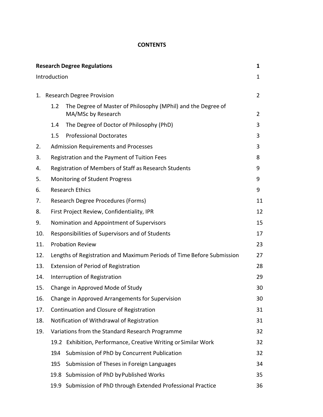#### **CONTENTS**

| <b>Research Degree Regulations</b> |      |                                                                       | 1              |  |  |
|------------------------------------|------|-----------------------------------------------------------------------|----------------|--|--|
| Introduction                       |      |                                                                       |                |  |  |
| 1.                                 |      | <b>Research Degree Provision</b>                                      |                |  |  |
|                                    | 1.2  | The Degree of Master of Philosophy (MPhil) and the Degree of          |                |  |  |
|                                    |      | MA/MSc by Research                                                    | $\overline{2}$ |  |  |
|                                    | 1.4  | The Degree of Doctor of Philosophy (PhD)                              | 3              |  |  |
|                                    | 1.5  | <b>Professional Doctorates</b>                                        | 3              |  |  |
| 2.                                 |      | <b>Admission Requirements and Processes</b>                           |                |  |  |
| 3.                                 |      | Registration and the Payment of Tuition Fees                          |                |  |  |
| 4.                                 |      | Registration of Members of Staff as Research Students                 |                |  |  |
| 5.                                 |      | Monitoring of Student Progress                                        |                |  |  |
| 6.                                 |      | <b>Research Ethics</b>                                                |                |  |  |
| 7.                                 |      | Research Degree Procedures (Forms)                                    |                |  |  |
| 8.                                 |      | First Project Review, Confidentiality, IPR                            |                |  |  |
| 9.                                 |      | Nomination and Appointment of Supervisors                             |                |  |  |
| 10.                                |      | Responsibilities of Supervisors and of Students                       |                |  |  |
| 11.                                |      | <b>Probation Review</b>                                               | 23             |  |  |
| 12.                                |      | Lengths of Registration and Maximum Periods of Time Before Submission | 27             |  |  |
| 13.                                |      | Extension of Period of Registration                                   | 28             |  |  |
| 14.                                |      | Interruption of Registration                                          | 29             |  |  |
| 15.                                |      | Change in Approved Mode of Study                                      | 30             |  |  |
| 16.                                |      | Change in Approved Arrangements for Supervision                       | 30             |  |  |
| 17.                                |      | Continuation and Closure of Registration                              |                |  |  |
| 18.                                |      | Notification of Withdrawal of Registration                            | 31             |  |  |
| 19.                                |      | Variations from the Standard Research Programme                       |                |  |  |
|                                    |      | 19.2 Exhibition, Performance, Creative Writing or Similar Work        | 32             |  |  |
|                                    | 19.4 | Submission of PhD by Concurrent Publication                           | 32             |  |  |
|                                    | 19.5 | Submission of Theses in Foreign Languages                             | 34             |  |  |
|                                    |      | 19.8 Submission of PhD by Published Works                             | 35             |  |  |
|                                    |      | 19.9 Submission of PhD through Extended Professional Practice         | 36             |  |  |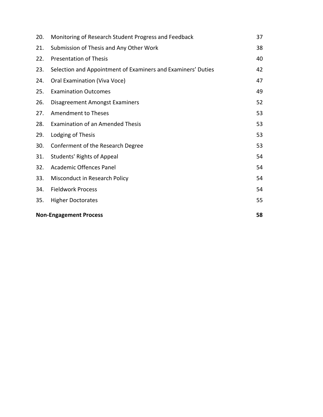| 20.                           | Monitoring of Research Student Progress and Feedback         | 37 |
|-------------------------------|--------------------------------------------------------------|----|
| 21.                           | Submission of Thesis and Any Other Work                      | 38 |
| 22.                           | <b>Presentation of Thesis</b>                                | 40 |
| 23.                           | Selection and Appointment of Examiners and Examiners' Duties | 42 |
| 24.                           | Oral Examination (Viva Voce)                                 | 47 |
| 25.                           | <b>Examination Outcomes</b>                                  | 49 |
| 26.                           | <b>Disagreement Amongst Examiners</b>                        | 52 |
| 27.                           | <b>Amendment to Theses</b>                                   | 53 |
| 28.                           | <b>Examination of an Amended Thesis</b>                      | 53 |
| 29.                           | Lodging of Thesis                                            | 53 |
| 30.                           | Conferment of the Research Degree                            | 53 |
| 31.                           | <b>Students' Rights of Appeal</b>                            | 54 |
| 32.                           | Academic Offences Panel                                      | 54 |
| 33.                           | Misconduct in Research Policy                                | 54 |
| 34.                           | <b>Fieldwork Process</b>                                     | 54 |
| 35.                           | <b>Higher Doctorates</b>                                     | 55 |
| <b>Non-Engagement Process</b> |                                                              |    |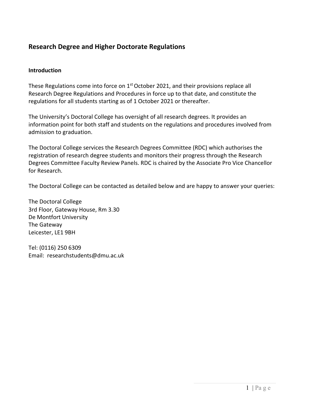### **Research Degree and Higher Doctorate Regulations**

#### **Introduction**

These Regulations come into force on 1<sup>st</sup> October 2021, and their provisions replace all Research Degree Regulations and Procedures in force up to that date, and constitute the regulations for all students starting as of 1 October 2021 or thereafter.

The University's Doctoral College has oversight of all research degrees. It provides an information point for both staff and students on the regulations and procedures involved from admission to graduation.

The Doctoral College services the Research Degrees Committee (RDC) which authorises the registration of research degree students and monitors their progress through the Research Degrees Committee Faculty Review Panels. RDC is chaired by the Associate Pro Vice Chancellor for Research.

The Doctoral College can be contacted as detailed below and are happy to answer your queries:

The Doctoral College 3rd Floor, Gateway House, Rm 3.30 De Montfort University The Gateway Leicester, LE1 9BH

Tel: (0116) 250 6309 Email: [researchstudents@dmu.ac.uk](mailto:researchstudents@dmu.ac.uk)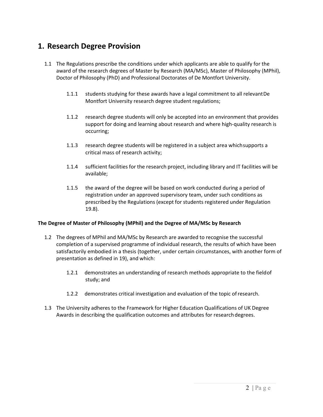### **1. Research Degree Provision**

- 1.1 The Regulations prescribe the conditions under which applicants are able to qualify for the award of the research degrees of Master by Research (MA/MSc), Master of Philosophy (MPhil), Doctor of Philosophy (PhD) and Professional Doctorates of De Montfort University.
	- 1.1.1 students studying for these awards have a legal commitment to all relevantDe Montfort University research degree student regulations;
	- 1.1.2 research degree students will only be accepted into an environment that provides support for doing and learning about research and where high-quality research is occurring;
	- 1.1.3 research degree students will be registered in a subject area whichsupports a critical mass of research activity;
	- 1.1.4 sufficient facilities for the research project, including library and IT facilities will be available;
	- 1.1.5 the award of the degree will be based on work conducted during a period of registration under an approved supervisory team, under such conditions as prescribed by the Regulations (except for students registered under Regulation 19.8).

#### **The Degree of Master of Philosophy (MPhil) and the Degree of MA/MSc by Research**

- 1.2 The degrees of MPhil and MA/MSc by Research are awarded to recognise the successful completion of a supervised programme of individual research, the results of which have been satisfactorily embodied in a thesis (together, under certain circumstances, with another form of presentation as defined in 19), and which:
	- 1.2.1 demonstrates an understanding of research methods appropriate to the fieldof study; and
	- 1.2.2 demonstrates critical investigation and evaluation of the topic ofresearch.
- 1.3 The University adheres to the Framework for Higher Education Qualifications of UK Degree Awards in describing the qualification outcomes and attributes for researchdegrees.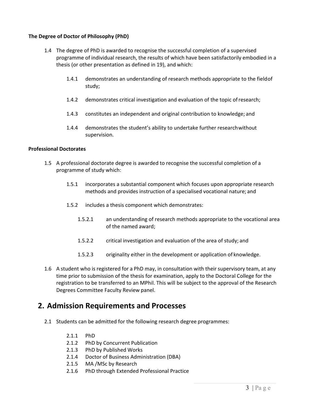#### **The Degree of Doctor of Philosophy (PhD)**

- 1.4 The degree of PhD is awarded to recognise the successful completion of a supervised programme of individual research, the results of which have been satisfactorily embodied in a thesis (or other presentation as defined in 19), and which:
	- 1.4.1 demonstrates an understanding of research methods appropriate to the fieldof study;
	- 1.4.2 demonstrates critical investigation and evaluation of the topic ofresearch;
	- 1.4.3 constitutes an independent and original contribution to knowledge; and
	- 1.4.4 demonstrates the student's ability to undertake further researchwithout supervision.

#### **Professional Doctorates**

- 1.5 A professional doctorate degree is awarded to recognise the successful completion of a programme of study which:
	- 1.5.1 incorporates a substantial component which focuses upon appropriate research methods and provides instruction of a specialised vocational nature; and
	- 1.5.2 includes a thesis component which demonstrates:
		- 1.5.2.1 an understanding of research methods appropriate to the vocational area of the named award;
		- 1.5.2.2 critical investigation and evaluation of the area of study; and
		- 1.5.2.3 originality either in the development or application of knowledge.
- 1.6 A student who is registered for a PhD may, in consultation with their supervisory team, at any time prior to submission of the thesis for examination, apply to the Doctoral College for the registration to be transferred to an MPhil. This will be subject to the approval of the Research Degrees Committee Faculty Review panel.

### **2. Admission Requirements and Processes**

- 2.1 Students can be admitted for the following research degree programmes:
	- 2.1.1 PhD
	- 2.1.2 PhD by Concurrent Publication
	- 2.1.3 PhD by Published Works
	- 2.1.4 Doctor of Business Administration (DBA)
	- 2.1.5 MA /MSc by Research
	- 2.1.6 PhD through Extended Professional Practice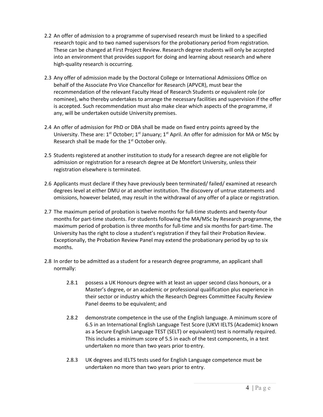- 2.2 An offer of admission to a programme of supervised research must be linked to a specified research topic and to two named supervisors for the probationary period from registration. These can be changed at First Project Review. Research degree students will only be accepted into an environment that provides support for doing and learning about research and where high-quality research is occurring.
- 2.3 Any offer of admission made by the Doctoral College or International Admissions Office on behalf of the Associate Pro Vice Chancellor for Research (APVCR), must bear the recommendation of the relevant Faculty Head of Research Students or equivalent role (or nominee), who thereby undertakes to arrange the necessary facilities and supervision if the offer is accepted. Such recommendation must also make clear which aspects of the programme, if any, will be undertaken outside University premises.
- 2.4 An offer of admission for PhD or DBA shall be made on fixed entry points agreed by the University. These are:  $1^{st}$  October;  $1^{st}$  January;  $1^{st}$  April. An offer for admission for MA or MSc by Research shall be made for the  $1<sup>st</sup>$  October only.
- 2.5 Students registered at another institution to study for a research degree are not eligible for admission or registration for a research degree at De Montfort University, unless their registration elsewhere is terminated.
- 2.6 Applicants must declare if they have previously been terminated/ failed/ examined at research degrees level at either DMU or at another institution. The discovery of untrue statements and omissions, however belated, may result in the withdrawal of any offer of a place or registration.
- 2.7 The maximum period of probation is twelve months for full-time students and twenty-four months for part-time students. For students following the MA/MSc by Research programme, the maximum period of probation is three months for full-time and six months for part-time. The University has the right to close a student's registration if they fail their Probation Review. Exceptionally, the Probation Review Panel may extend the probationary period by up to six months.
- 2.8 In order to be admitted as a student for a research degree programme, an applicant shall normally:
	- 2.8.1 possess a UK Honours degree with at least an upper second class honours, or a Master's degree, or an academic or professional qualification plus experience in their sector or industry which the Research Degrees Committee Faculty Review Panel deems to be equivalent; and
	- 2.8.2 demonstrate competence in the use of the English language. A minimum score of 6.5 in an International English Language Test Score (UKVI IELTS (Academic) known as a Secure English Language TEST (SELT) or equivalent) test is normally required. This includes a minimum score of 5.5 in each of the test components, in a test undertaken no more than two years prior to entry.
	- 2.8.3 UK degrees and IELTS tests used for English Language competence must be undertaken no more than two years prior to entry.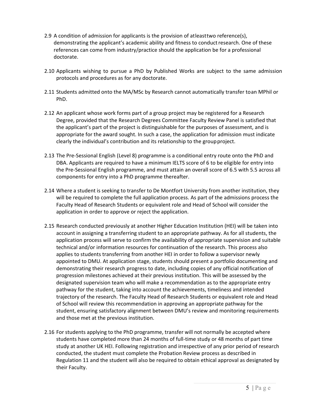- 2.9 A condition of admission for applicants is the provision of atleasttwo reference(s), demonstrating the applicant's academic ability and fitness to conduct research. One of these references can come from industry/practice should the application be for a professional doctorate.
- 2.10 Applicants wishing to pursue a PhD by Published Works are subject to the same admission protocols and procedures as for any doctorate.
- 2.11 Students admitted onto the MA/MSc by Research cannot automatically transfer toan MPhil or PhD.
- 2.12 An applicant whose work forms part of a group project may be registered for a Research Degree, provided that the Research Degrees Committee Faculty Review Panel is satisfied that the applicant's part of the project is distinguishable for the purposes of assessment, and is appropriate for the award sought. In such a case, the application for admission must indicate clearly the individual's contribution and its relationship to the groupproject.
- 2.13 The Pre-Sessional English (Level 8) programme is a conditional entry route onto the PhD and DBA. Applicants are required to have a minimum IELTS score of 6 to be eligible for entry into the Pre-Sessional English programme, and must attain an overall score of 6.5 with 5.5 across all components for entry into a PhD programme thereafter.
- 2.14 Where a student is seeking to transfer to De Montfort University from another institution, they will be required to complete the full application process. As part of the admissions process the Faculty Head of Research Students or equivalent role and Head of School will consider the application in order to approve or reject the application.
- 2.15 Research conducted previously at another Higher Education Institution (HEI) will be taken into account in assigning a transferring student to an appropriate pathway. As for all students, the application process will serve to confirm the availability of appropriate supervision and suitable technical and/or information resources for continuation of the research. This process also applies to students transferring from another HEI in order to follow a supervisor newly appointed to DMU. At application stage, students should present a portfolio documenting and demonstrating their research progress to date, including copies of any official notification of progression milestones achieved at their previous institution. This will be assessed by the designated supervision team who will make a recommendation as to the appropriate entry pathway for the student, taking into account the achievements, timeliness and intended trajectory of the research. The Faculty Head of Research Students or equivalent role and Head of School will review this recommendation in approving an appropriate pathway for the student, ensuring satisfactory alignment between DMU's review and monitoring requirements and those met at the previous institution.
- 2.16 For students applying to the PhD programme, transfer will not normally be accepted where students have completed more than 24 months of full-time study or 48 months of part time study at another UK HEI. Following registration and irrespective of any prior period of research conducted, the student must complete the Probation Review process as described in Regulation 11 and the student will also be required to obtain ethical approval as designated by their Faculty.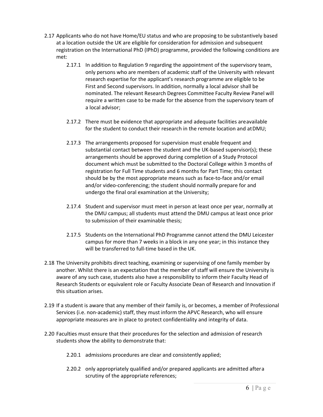- 2.17 Applicants who do not have Home/EU status and who are proposing to be substantively based at a location outside the UK are eligible for consideration for admission and subsequent registration on the International PhD (IPhD) programme, provided the following conditions are met:
	- 2.17.1 In addition to Regulation 9 regarding the appointment of the supervisory team, only persons who are members of academic staff of the University with relevant research expertise for the applicant's research programme are eligible to be First and Second supervisors. In addition, normally a local advisor shall be nominated. The relevant Research Degrees Committee Faculty Review Panel will require a written case to be made for the absence from the supervisory team of a local advisor;
	- 2.17.2 There must be evidence that appropriate and adequate facilities areavailable for the student to conduct their research in the remote location and atDMU;
	- 2.17.3 The arrangements proposed for supervision must enable frequent and substantial contact between the student and the UK-based supervisor(s); these arrangements should be approved during completion of a Study Protocol document which must be submitted to the Doctoral College within 3 months of registration for Full Time students and 6 months for Part Time; this contact should be by the most appropriate means such as face-to-face and/or email and/or video-conferencing; the student should normally prepare for and undergo the final oral examination at the University;
	- 2.17.4 Student and supervisor must meet in person at least once per year, normally at the DMU campus; all students must attend the DMU campus at least once prior to submission of their examinable thesis;
	- 2.17.5 Students on the International PhD Programme cannot attend the DMU Leicester campus for more than 7 weeks in a block in any one year; in this instance they will be transferred to full-time based in the UK.
- 2.18 The University prohibits direct teaching, examining or supervising of one family member by another. Whilst there is an expectation that the member of staff will ensure the University is aware of any such case, students also have a responsibility to inform their Faculty Head of Research Students or equivalent role or Faculty Associate Dean of Research and Innovation if this situation arises.
- 2.19 If a student is aware that any member of their family is, or becomes, a member of Professional Services (i.e. non-academic) staff, they must inform the APVC Research, who will ensure appropriate measures are in place to protect confidentiality and integrity of data.
- 2.20 Faculties must ensure that their procedures for the selection and admission of research students show the ability to demonstrate that:
	- 2.20.1 admissions procedures are clear and consistently applied;
	- 2.20.2 only appropriately qualified and/or prepared applicants are admitted aftera scrutiny of the appropriate references;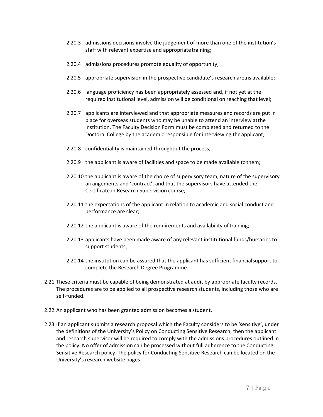- 2.20.3 admissions decisions involve the judgement of more than one of the institution's staff with relevant expertise and appropriate training;
- 2.20.4 admissions procedures promote equality of opportunity;
- 2.20.5 appropriate supervision in the prospective candidate's research areais available;
- 2.20.6 language proficiency has been appropriately assessed and, if not yet at the required institutional level, admission will be conditional on reaching that level;
- 2.20.7 applicants are interviewed and that appropriate measures and records are put in place for overseas students who may be unable to attend an interview atthe institution. The Faculty Decision Form must be completed and returned to the Doctoral College by the academic responsible for interviewing the applicant;
- 2.20.8 confidentiality is maintained throughout the process;
- 2.20.9 the applicant is aware of facilities and space to be made available tothem;
- 2.20.10 the applicant is aware of the choice of supervisory team, nature of the supervisory arrangements and 'contract', and that the supervisors have attended the Certificate in Research Supervision course;
- 2.20.11 the expectations of the applicant in relation to academic and social conduct and performance are clear;
- 2.20.12 the applicant is aware of the requirements and availability of training;
- 2.20.13 applicants have been made aware of any relevant institutional funds/bursaries to support students;
- 2.20.14 the institution can be assured that the applicant has sufficient financialsupport to complete the Research Degree Programme.
- 2.21 These criteria must be capable of being demonstrated at audit by appropriate faculty records. The procedures are to be applied to all prospective research students, including those who are self-funded.
- 2.22 An applicant who has been granted admission becomes a student.
- 2.23 If an applicant submits a research proposal which the Faculty considers to be 'sensitive', under the definitions of the University's Policy on Conducting Sensitive Research, then the applicant and research supervisor will be required to comply with the admissions procedures outlined in the policy. No offer of admission can be processed without full adherence to the Conducting Sensitive Research policy. The policy for Conducting Sensitive Research can be located on the University's research website pages.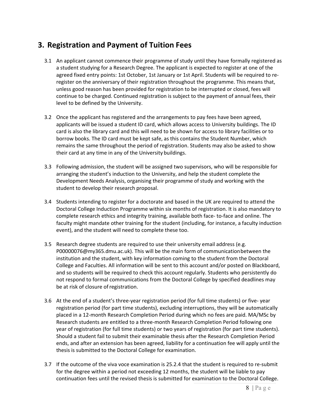### **3. Registration and Payment of Tuition Fees**

- 3.1 An applicant cannot commence their programme of study until they have formally registered as a student studying for a Research Degree. The applicant is expected to register at one of the agreed fixed entry points: 1st October, 1st January or 1st April. Students will be required to reregister on the anniversary of their registration throughout the programme. This means that, unless good reason has been provided for registration to be interrupted or closed, fees will continue to be charged. Continued registration is subject to the payment of annual fees, their level to be defined by the University.
- 3.2 Once the applicant has registered and the arrangements to pay fees have been agreed, applicants will be issued a student ID card, which allows access to University buildings. The ID card is also the library card and this will need to be shown for access to library facilities or to borrow books. The ID card must be kept safe, as this contains the Student Number, which remains the same throughout the period of registration. Students may also be asked to show their card at any time in any of the University buildings.
- 3.3 Following admission, the student will be assigned two supervisors, who will be responsible for arranging the student's induction to the University, and help the student complete the Development Needs Analysis, organising their programme of study and working with the student to develop their research proposal.
- 3.4 Students intending to register for a doctorate and based in the UK are required to attend the Doctoral College Induction Programme within six months of registration. It is also mandatory to complete research ethics and integrity training, available both face- to-face and online. The faculty might mandate other training for the student (including, for instance, a faculty induction event), and the student will need to complete these too.
- 3.5 Research degree students are required to use their university email address (e.g. P0000007[6@my365.dmu.ac.uk\)](mailto:P1306369X@my365.dmu.ac.uk). This will be the main form of communicationbetween the institution and the student, with key information coming to the student from the Doctoral College and Faculties. All information will be sent to this account and/or posted on Blackboard, and so students will be required to check this account regularly. Students who persistently do not respond to formal communications from the Doctoral College by specified deadlines may be at risk of closure of registration.
- 3.6 At the end of a student's three-year registration period (for full time students) or five- year registration period (for part time students), excluding interruptions, they will be automatically placed in a 12-month Research Completion Period during which no fees are paid. MA/MSc by Research students are entitled to a three-month Research Completion Period following one year of registration (for full time students) or two years of registration (for part time students). Should a student fail to submit their examinable thesis after the Research Completion Period ends, and after an extension has been agreed, liability for a continuation fee will apply until the thesis is submitted to the Doctoral College for examination.
- 3.7 If the outcome of the viva voce examination is 25.2.4 that the student is required to re-submit for the degree within a period not exceeding 12 months, the student will be liable to pay continuation fees until the revised thesis is submitted for examination to the Doctoral College.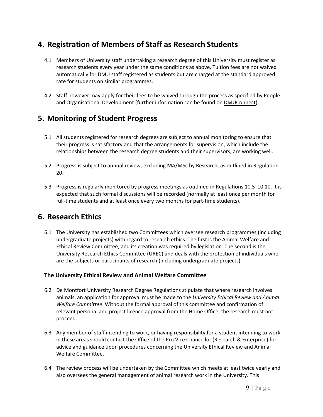### **4. Registration of Members of Staff as Research Students**

- 4.1 Members of University staff undertaking a research degree of this University must register as research students every year under the same conditions as above. Tuition fees are not waived automatically for DMU staff registered as students but are charged at the standard approved rate for students on similar programmes.
- 4.2 Staff however may apply for their fees to be waived through the process as specified by People and Organisational Development (further information can be found o[n DMUConnect\)](https://demontfortuniversity.sharepoint.com/sites/DMUHome/org/POD/OD/Pages/Staff-Development-Applying-for-a-DMU-course.aspx).

### **5. Monitoring of Student Progress**

- 5.1 All students registered for research degrees are subject to annual monitoring to ensure that their progress is satisfactory and that the arrangements for supervision, which include the relationships between the research degree students and their supervisors, are working well.
- 5.2 Progress is subject to annual review, excluding MA/MSc by Research, as outlined in Regulation 20.
- 5.3 Progress is regularly monitored by progress meetings as outlined in Regulations 10.5-10.10. It is expected that such formal discussions will be recorded (normally at least once per month for full-time students and at least once every two months for part-time students).

### **6. Research Ethics**

6.1 The University has established two Committees which oversee research programmes (including undergraduate projects) with regard to research ethics. The first is the Animal Welfare and Ethical Review Committee, and its creation was required by legislation. The second is the University Research Ethics Committee (UREC) and deals with the protection of individuals who are the subjects or participants of research (including undergraduate projects).

#### **The University Ethical Review and Animal Welfare Committee**

- 6.2 De Montfort University Research Degree Regulations stipulate that where research involves animals, an application for approval must be made to the *University Ethical Review and Animal Welfare Committee*. Without the formal approval of this committee and confirmation of relevant personal and project licence approval from the Home Office, the research must not proceed.
- 6.3 Any member of staff intending to work, or having responsibility for a student intending to work, in these areas should contact the Office of the Pro Vice Chancellor (Research & Enterprise) for advice and guidance upon procedures concerning the University Ethical Review and Animal Welfare Committee.
- 6.4 The review process will be undertaken by the Committee which meets at least twice yearly and also oversees the general management of animal research work in the University. This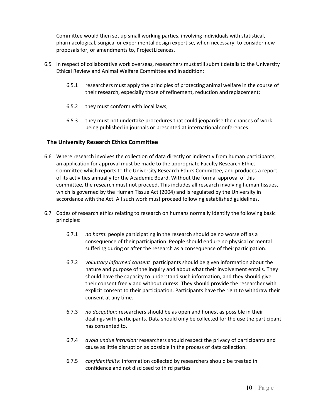Committee would then set up small working parties, involving individuals with statistical, pharmacological, surgical or experimental design expertise, when necessary, to consider new proposals for, or amendments to, ProjectLicences.

- 6.5 In respect of collaborative work overseas, researchers must still submit details to the University Ethical Review and Animal Welfare Committee and in addition:
	- 6.5.1 researchers must apply the principles of protecting animal welfare in the course of their research, especially those of refinement, reduction andreplacement;
	- 6.5.2 they must conform with local laws;
	- 6.5.3 they must not undertake procedures that could jeopardise the chances of work being published in journals or presented at international conferences.

#### **The University Research Ethics Committee**

- 6.6 Where research involves the collection of data directly or indirectly from human participants, an application for approval must be made to the appropriate Faculty Research Ethics Committee which reports to the University Research Ethics Committee, and produces a report of its activities annually for the Academic Board. Without the formal approval of this committee, the research must not proceed. This includes all research involving human tissues, which is governed by the Human Tissue Act (2004) and is regulated by the University in accordance with the Act. All such work must proceed following established guidelines.
- 6.7 Codes of research ethics relating to research on humans normally identify the following basic principles:
	- 6.7.1 *no harm*: people participating in the research should be no worse off as a consequence of their participation. People should endure no physical or mental suffering during or after the research as a consequence of their participation.
	- 6.7.2 *voluntary informed consent*: participants should be given information about the nature and purpose of the inquiry and about what their involvement entails. They should have the capacity to understand such information, and they should give their consent freely and without duress. They should provide the researcher with explicit consent to their participation. Participants have the right to withdraw their consent at any time.
	- 6.7.3 *no deception:* researchers should be as open and honest as possible in their dealings with participants. Data should only be collected for the use the participant has consented to.
	- 6.7.4 *avoid undue intrusion:* researchers should respect the privacy of participants and cause as little disruption as possible in the process of datacollection.
	- 6.7.5 *confidentiality*: information collected by researchers should be treated in confidence and not disclosed to third parties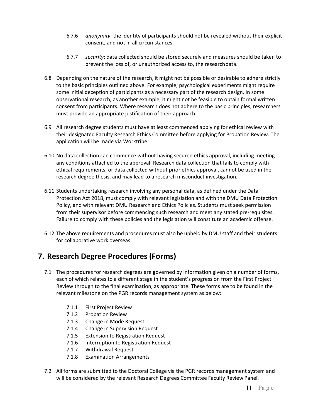- 6.7.6 *anonymity*: the identity of participants should not be revealed without their explicit consent, and not in all circumstances.
- 6.7.7 *security*: data collected should be stored securely and measures should be taken to prevent the loss of, or unauthorized access to, the researchdata.
- 6.8 Depending on the nature of the research, it might not be possible or desirable to adhere strictly to the basic principles outlined above. For example, psychological experiments might require some initial deception of participants as a necessary part of the research design. In some observational research, as another example, it might not be feasible to obtain formal written consent from participants. Where research does not adhere to the basic principles, researchers must provide an appropriate justification of their approach.
- 6.9 All research degree students must have at least commenced applying for ethical review with their designated Faculty Research Ethics Committee before applying for Probation Review. The application will be made via Worktribe.
- 6.10 No data collection can commence without having secured ethics approval, including meeting any conditions attached to the approval. Research data collection that fails to comply with ethical requirements, or data collected without prior ethics approval, cannot be used in the research degree thesis, and may lead to a research misconduct investigation.
- 6.11 Students undertaking research involving any personal data, as defined under the Data Protection Act 2018, must comply with relevant legislation and with the [DMU Data Protection](https://www.dmu.ac.uk/documents/research-documents/gdpr-and-research-final.pdf)  [Policy,](https://www.dmu.ac.uk/documents/research-documents/gdpr-and-research-final.pdf) and with relevant DMU Research and Ethics Policies. Students must seek permission from their supervisor before commencing such research and meet any stated pre-requisites. Failure to comply with these policies and the legislation will constitute an academic offense.
- 6.12 The above requirements and procedures must also be upheld by DMU staff and their students for collaborative work overseas.

### **7. Research Degree Procedures (Forms)**

- 7.1 The procedures for research degrees are governed by information given on a number of forms, each of which relates to a different stage in the student's progression from the First Project Review through to the final examination, as appropriate. These forms are to be found in the relevant milestone on the PGR records management system as below:
	- 7.1.1 First Project Review
	- 7.1.2 Probation Review
	- 7.1.3 Change in Mode Request
	- 7.1.4 Change in Supervision Request
	- 7.1.5 Extension to Registration Request
	- 7.1.6 Interruption to Registration Request
	- 7.1.7 Withdrawal Request
	- 7.1.8 Examination Arrangements
- 7.2 All forms are submitted to the Doctoral College via the PGR records management system and will be considered by the relevant Research Degrees Committee Faculty Review Panel.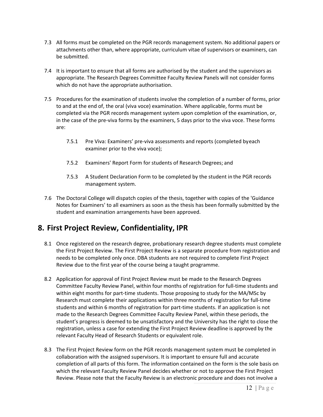- 7.3 All forms must be completed on the PGR records management system. No additional papers or attachments other than, where appropriate, curriculum vitae of supervisors or examiners, can be submitted.
- 7.4 It is important to ensure that all forms are authorised by the student and the supervisors as appropriate. The Research Degrees Committee Faculty Review Panels will not consider forms which do not have the appropriate authorisation.
- 7.5 Procedures for the examination of students involve the completion of a number of forms, prior to and at the end of, the oral (viva voce) examination. Where applicable, forms must be completed via the PGR records management system upon completion of the examination, or, in the case of the pre-viva forms by the examiners, 5 days prior to the viva voce. These forms are:
	- 7.5.1 Pre Viva: Examiners' pre-viva assessments and reports (completed byeach examiner prior to the viva voce);
	- 7.5.2 Examiners' Report Form for students of Research Degrees; and
	- 7.5.3 A Student Declaration Form to be completed by the student in the PGR records management system.
- 7.6 The Doctoral College will dispatch copies of the thesis, together with copies of the 'Guidance Notes for Examiners' to all examiners as soon as the thesis has been formally submitted by the student and examination arrangements have been approved.

### **8. First Project Review, Confidentiality, IPR**

- 8.1 Once registered on the research degree, probationary research degree students must complete the First Project Review. The First Project Review is a separate procedure from registration and needs to be completed only once. DBA students are not required to complete First Project Review due to the first year of the course being a taught programme.
- 8.2 Application for approval of First Project Review must be made to the Research Degrees Committee Faculty Review Panel, within four months of registration for full-time students and within eight months for part-time students. Those proposing to study for the MA/MSc by Research must complete their applications within three months of registration for full-time students and within 6 months of registration for part-time students. If an application is not made to the Research Degrees Committee Faculty Review Panel, within these periods, the student's progress is deemed to be unsatisfactory and the University has the right to close the registration, unless a case for extending the First Project Review deadline is approved by the relevant Faculty Head of Research Students or equivalent role.
- 8.3 The First Project Review form on the PGR records management system must be completed in collaboration with the assigned supervisors. It is important to ensure full and accurate completion of all parts of this form. The information contained on the form is the sole basis on which the relevant Faculty Review Panel decides whether or not to approve the First Project Review. Please note that the Faculty Review is an electronic procedure and does not involve a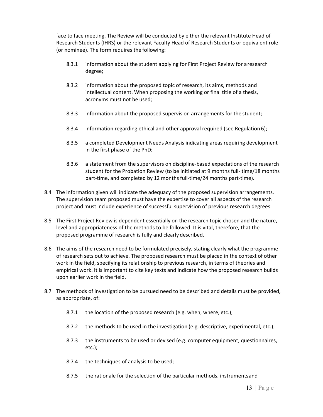face to face meeting. The Review will be conducted by either the relevant Institute Head of Research Students (IHRS) or the relevant Faculty Head of Research Students or equivalent role (or nominee). The form requires the following:

- 8.3.1 information about the student applying for First Project Review for aresearch degree;
- 8.3.2 information about the proposed topic of research, its aims, methods and intellectual content. When proposing the working or final title of a thesis, acronyms must not be used;
- 8.3.3 information about the proposed supervision arrangements for the student;
- 8.3.4 information regarding ethical and other approval required (see Regulation 6);
- 8.3.5 a completed Development Needs Analysis indicating areas requiring development in the first phase of the PhD;
- 8.3.6 a statement from the supervisors on discipline-based expectations of the research student for the Probation Review (to be initiated at 9 months full- time/18 months part-time, and completed by 12 months full-time/24 months part-time).
- 8.4 The information given will indicate the adequacy of the proposed supervision arrangements. The supervision team proposed must have the expertise to cover all aspects of the research project and must include experience of successful supervision of previous research degrees.
- 8.5 The First Project Review is dependent essentially on the research topic chosen and the nature, level and appropriateness of the methods to be followed. It is vital, therefore, that the proposed programme of research is fully and clearly described.
- 8.6 The aims of the research need to be formulated precisely, stating clearly what the programme of research sets out to achieve. The proposed research must be placed in the context of other work in the field, specifying its relationship to previous research, in terms of theories and empirical work. It is important to cite key texts and indicate how the proposed research builds upon earlier work in the field.
- 8.7 The methods of investigation to be pursued need to be described and details must be provided, as appropriate, of:
	- 8.7.1 the location of the proposed research (e.g. when, where, etc.);
	- 8.7.2 the methods to be used in the investigation (e.g. descriptive, experimental, etc.);
	- 8.7.3 the instruments to be used or devised (e.g. computer equipment, questionnaires, etc.);
	- 8.7.4 the techniques of analysis to be used;
	- 8.7.5 the rationale for the selection of the particular methods, instrumentsand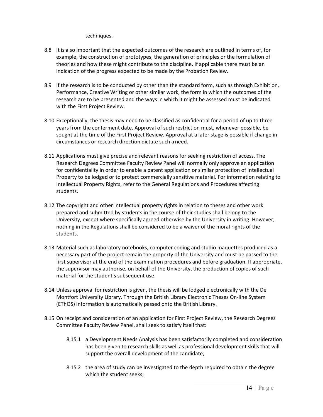techniques.

- 8.8 It is also important that the expected outcomes of the research are outlined in terms of, for example, the construction of prototypes, the generation of principles or the formulation of theories and how these might contribute to the discipline. If applicable there must be an indication of the progress expected to be made by the Probation Review.
- 8.9 If the research is to be conducted by other than the standard form, such as through Exhibition, Performance, Creative Writing or other similar work, the form in which the outcomes of the research are to be presented and the ways in which it might be assessed must be indicated with the First Project Review.
- 8.10 Exceptionally, the thesis may need to be classified as confidential for a period of up to three years from the conferment date. Approval of such restriction must, whenever possible, be sought at the time of the First Project Review. Approval at a later stage is possible if change in circumstances or research direction dictate such a need.
- 8.11 Applications must give precise and relevant reasons for seeking restriction of access. The Research Degrees Committee Faculty Review Panel will normally only approve an application for confidentiality in order to enable a patent application or similar protection of Intellectual Property to be lodged or to protect commercially sensitive material. For information relating to Intellectual Property Rights, refer to the General Regulations and Procedures affecting students.
- 8.12 The copyright and other intellectual property rights in relation to theses and other work prepared and submitted by students in the course of their studies shall belong to the University, except where specifically agreed otherwise by the University in writing. However, nothing in the Regulations shall be considered to be a waiver of the moral rights of the students.
- 8.13 Material such as laboratory notebooks, computer coding and studio maquettes produced as a necessary part of the project remain the property of the University and must be passed to the first supervisor at the end of the examination procedures and before graduation. If appropriate, the supervisor may authorise, on behalf of the University, the production of copies of such material for the student's subsequent use.
- 8.14 Unless approval for restriction is given, the thesis will be lodged electronically with the De Montfort University Library. Through the British Library Electronic Theses On-line System (EThOS) information is automatically passed onto the British Library.
- 8.15 On receipt and consideration of an application for First Project Review, the Research Degrees Committee Faculty Review Panel, shall seek to satisfy itself that:
	- 8.15.1 a Development Needs Analysis has been satisfactorily completed and consideration has been given to research skills as well as professional development skills that will support the overall development of the candidate;
	- 8.15.2 the area of study can be investigated to the depth required to obtain the degree which the student seeks;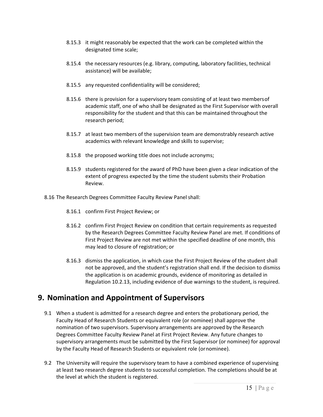- 8.15.3 it might reasonably be expected that the work can be completed within the designated time scale;
- 8.15.4 the necessary resources (e.g. library, computing, laboratory facilities, technical assistance) will be available;
- 8.15.5 any requested confidentiality will be considered;
- 8.15.6 there is provision for a supervisory team consisting of at least two membersof academic staff, one of who shall be designated as the First Supervisor with overall responsibility for the student and that this can be maintained throughout the research period;
- 8.15.7 at least two members of the supervision team are demonstrably research active academics with relevant knowledge and skills to supervise;
- 8.15.8 the proposed working title does not include acronyms;
- 8.15.9 students registered for the award of PhD have been given a clear indication of the extent of progress expected by the time the student submits their Probation Review.
- 8.16 The Research Degrees Committee Faculty Review Panel shall:
	- 8.16.1 confirm First Project Review; or
	- 8.16.2 confirm First Project Review on condition that certain requirements as requested by the Research Degrees Committee Faculty Review Panel are met. If conditions of First Project Review are not met within the specified deadline of one month, this may lead to closure of registration; or
	- 8.16.3 dismiss the application, in which case the First Project Review of the student shall not be approved, and the student's registration shall end. If the decision to dismiss the application is on academic grounds, evidence of monitoring as detailed in Regulation 10.2.13, including evidence of due warnings to the student, is required.

### **9. Nomination and Appointment of Supervisors**

- 9.1 When a student is admitted for a research degree and enters the probationary period, the Faculty Head of Research Students or equivalent role (or nominee) shall approve the nomination of two supervisors. Supervisory arrangements are approved by the Research Degrees Committee Faculty Review Panel at First Project Review. Any future changes to supervisory arrangements must be submitted by the First Supervisor (or nominee) for approval by the Faculty Head of Research Students or equivalent role (ornominee).
- 9.2 The University will require the supervisory team to have a combined experience of supervising at least two research degree students to successful completion. The completions should be at the level at which the student is registered.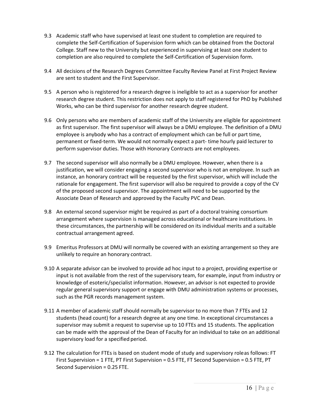- 9.3 Academic staff who have supervised at least one student to completion are required to complete the Self-Certification of Supervision form which can be obtained from the Doctoral College. Staff new to the University but experienced in supervising at least one student to completion are also required to complete the Self-Certification of Supervision form.
- 9.4 All decisions of the Research Degrees Committee Faculty Review Panel at First Project Review are sent to student and the First Supervisor.
- 9.5 A person who is registered for a research degree is ineligible to act as a supervisor for another research degree student. This restriction does not apply to staff registered for PhD by Published Works, who can be third supervisor for another research degree student.
- 9.6 Only persons who are members of academic staff of the University are eligible for appointment as first supervisor. The first supervisor will always be a DMU employee. The definition of a DMU employee is anybody who has a contract of employment which can be full or part time, permanent or fixed-term. We would not normally expect a part- time hourly paid lecturer to perform supervisor duties. Those with Honorary Contracts are not employees.
- 9.7 The second supervisor will also normally be a DMU employee. However, when there is a justification, we will consider engaging a second supervisor who is not an employee. In such an instance, an honorary contract will be requested by the first supervisor, which will include the rationale for engagement. The first supervisor will also be required to provide a copy of the CV of the proposed second supervisor. The appointment will need to be supported by the Associate Dean of Research and approved by the Faculty PVC and Dean.
- 9.8 An external second supervisor might be required as part of a doctoral training consortium arrangement where supervision is managed across educational or healthcare institutions. In these circumstances, the partnership will be considered on its individual merits and a suitable contractual arrangement agreed.
- 9.9 Emeritus Professors at DMU will normally be covered with an existing arrangement so they are unlikely to require an honorary contract.
- 9.10 A separate advisor can be involved to provide ad hoc input to a project, providing expertise or input is not available from the rest of the supervisory team, for example, input from industry or knowledge of esoteric/specialist information. However, an advisor is not expected to provide regular general supervisory support or engage with DMU administration systems or processes, such asthe PGR records management system.
- 9.11 A member of academic staff should normally be supervisor to no more than 7 FTEs and 12 students (head count) for a research degree at any one time. In exceptional circumstances a supervisor may submit a request to supervise up to 10 FTEs and 15 students. The application can be made with the approval of the Dean of Faculty for an individual to take on an additional supervisory load for a specified period.
- 9.12 The calculation for FTEs is based on student mode of study and supervisory roleas follows: FT First Supervision = 1 FTE, PT First Supervision = 0.5 FTE, FT Second Supervision = 0.5 FTE, PT Second Supervision = 0.25 FTE.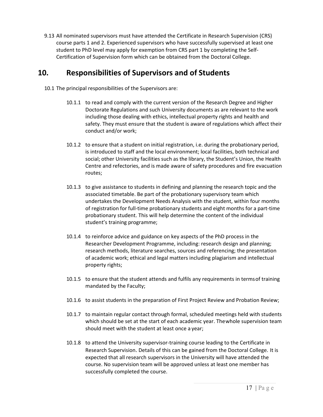9.13 All nominated supervisors must have attended the Certificate in Research Supervision (CRS) course parts 1 and 2. Experienced supervisors who have successfully supervised at least one student to PhD level may apply for exemption from CRS part 1 by completing the Self-Certification of Supervision form which can be obtained from the Doctoral College.

### **10. Responsibilities of Supervisors and of Students**

- 10.1 The principal responsibilities of the Supervisors are:
	- 10.1.1 to read and comply with the current version of the Research Degree and Higher Doctorate Regulations and such University documents as are relevant to the work including those dealing with ethics, intellectual property rights and health and safety. They must ensure that the student is aware of regulations which affect their conduct and/or work;
	- 10.1.2 to ensure that a student on initial registration, i.e. during the probationary period, is introduced to staff and the local environment; local facilities, both technical and social; other University facilities such as the library, the Student's Union, the Health Centre and refectories, and is made aware of safety procedures and fire evacuation routes;
	- 10.1.3 to give assistance to students in defining and planning the research topic and the associated timetable. Be part of the probationary supervisory team which undertakes the Development Needs Analysis with the student, within four months of registration for full-time probationary students and eight months for a part-time probationary student. This will help determine the content of the individual student's training programme;
	- 10.1.4 to reinforce advice and guidance on key aspects of the PhD process in the Researcher Development Programme, including: research design and planning; research methods, literature searches, sources and referencing; the presentation of academic work; ethical and legal matters including plagiarism and intellectual property rights;
	- 10.1.5 to ensure that the student attends and fulfils any requirements in termsof training mandated by the Faculty;
	- 10.1.6 to assist students in the preparation of First Project Review and Probation Review;
	- 10.1.7 to maintain regular contact through formal, scheduled meetings held with students which should be set at the start of each academic year. Thewhole supervision team should meet with the student at least once a year;
	- 10.1.8 to attend the University supervisor-training course leading to the Certificate in Research Supervision. Details of this can be gained from the Doctoral College. It is expected that all research supervisors in the University will have attended the course. No supervision team will be approved unless at least one member has successfully completed the course.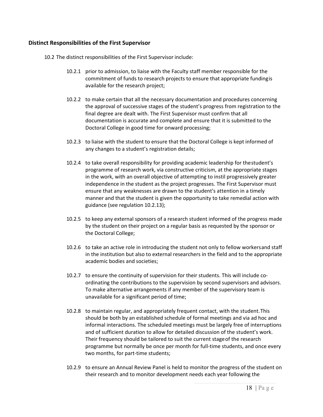#### **Distinct Responsibilities of the First Supervisor**

- 10.2 The distinct responsibilities of the First Supervisor include:
	- 10.2.1 prior to admission, to liaise with the Faculty staff member responsible for the commitment of funds to research projects to ensure that appropriate fundingis available for the research project;
	- 10.2.2 to make certain that all the necessary documentation and procedures concerning the approval of successive stages of the student's progress from registration to the final degree are dealt with. The First Supervisor must confirm that all documentation is accurate and complete and ensure that it is submitted to the Doctoral College in good time for onward processing;
	- 10.2.3 to liaise with the student to ensure that the Doctoral College is kept informed of any changes to a student's registration details;
	- 10.2.4 to take overall responsibility for providing academic leadership for thestudent's programme of research work, via constructive criticism, at the appropriate stages in the work, with an overall objective of attempting to instil progressively greater independence in the student as the project progresses. The First Supervisor must ensure that any weaknesses are drawn to the student's attention in a timely manner and that the student is given the opportunity to take remedial action with guidance (see regulation 10.2.13);
	- 10.2.5 to keep any external sponsors of a research student informed of the progress made by the student on their project on a regular basis as requested by the sponsor or the Doctoral College;
	- 10.2.6 to take an active role in introducing the student not only to fellow workersand staff in the institution but also to external researchers in the field and to the appropriate academic bodies and societies;
	- 10.2.7 to ensure the continuity of supervision for their students. This will include coordinating the contributions to the supervision by second supervisors and advisors. To make alternative arrangements if any member of the supervisory team is unavailable for a significant period of time;
	- 10.2.8 to maintain regular, and appropriately frequent contact, with the student.This should be both by an established schedule of formal meetings and via ad hoc and informal interactions. The scheduled meetings must be largely free of interruptions and of sufficient duration to allow for detailed discussion of the student's work. Their frequency should be tailored to suit the current stageof the research programme but normally be once per month for full-time students, and once every two months, for part-time students;
	- 10.2.9 to ensure an Annual Review Panel is held to monitor the progress of the student on their research and to monitor development needs each year following the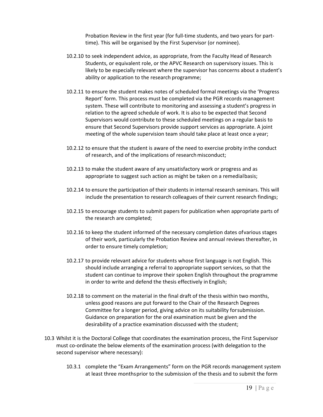Probation Review in the first year (for full-time students, and two years for parttime). This will be organised by the First Supervisor (or nominee).

- 10.2.10 to seek independent advice, as appropriate, from the Faculty Head of Research Students, or equivalent role, or the APVC Research on supervisory issues. This is likely to be especially relevant where the supervisor has concerns about a student's ability or application to the research programme;
- 10.2.11 to ensure the student makes notes of scheduled formal meetings via the 'Progress Report' form. This process must be completed via the PGR records management system. These will contribute to monitoring and assessing a student's progress in relation to the agreed schedule of work. It is also to be expected that Second Supervisors would contribute to these scheduled meetings on a regular basis to ensure that Second Supervisors provide support services as appropriate. A joint meeting of the whole supervision team should take place at least once a year;
- 10.2.12 to ensure that the student is aware of the need to exercise probity inthe conduct of research, and of the implications of research misconduct;
- 10.2.13 to make the student aware of any unsatisfactory work or progress and as appropriate to suggest such action as might be taken on a remedialbasis;
- 10.2.14 to ensure the participation of their students in internal research seminars. This will include the presentation to research colleagues of their current research findings;
- 10.2.15 to encourage students to submit papers for publication when appropriate parts of the research are completed;
- 10.2.16 to keep the student informed of the necessary completion dates ofvarious stages of their work, particularly the Probation Review and annual reviews thereafter, in order to ensure timely completion;
- 10.2.17 to provide relevant advice for students whose first language is not English. This should include arranging a referral to appropriate support services, so that the student can continue to improve their spoken English throughout the programme in order to write and defend the thesis effectively in English;
- 10.2.18 to comment on the material in the final draft of the thesis within two months, unless good reasons are put forward to the Chair of the Research Degrees Committee for a longer period, giving advice on its suitability forsubmission. Guidance on preparation for the oral examination must be given and the desirability of a practice examination discussed with the student;
- 10.3 Whilst it is the Doctoral College that coordinates the examination process, the First Supervisor must co-ordinate the below elements of the examination process (with delegation to the second supervisor where necessary):
	- 10.3.1 complete the "Exam Arrangements" form on the PGR records management system at least three monthsprior to the submission of the thesis and to submit the form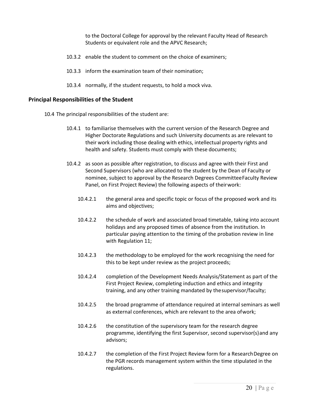to the Doctoral College for approval by the relevant Faculty Head of Research Students or equivalent role and the APVC Research;

- 10.3.2 enable the student to comment on the choice of examiners;
- 10.3.3 inform the examination team of their nomination;
- 10.3.4 normally, if the student requests, to hold a mock viva.

#### **Principal Responsibilities of the Student**

- 10.4 The principal responsibilities of the student are:
	- 10.4.1 to familiarise themselves with the current version of the Research Degree and Higher Doctorate Regulations and such University documents as are relevant to their work including those dealing with ethics, intellectual property rights and health and safety. Students must comply with these documents;
	- 10.4.2 as soon as possible after registration, to discuss and agree with their First and Second Supervisors (who are allocated to the student by the Dean of Faculty or nominee, subject to approval by the Research Degrees CommitteeFaculty Review Panel, on First Project Review) the following aspects of theirwork:
		- 10.4.2.1 the general area and specific topic or focus of the proposed work and its aims and objectives;
		- 10.4.2.2 the schedule of work and associated broad timetable, taking into account holidays and any proposed times of absence from the institution. In particular paying attention to the timing of the probation review in line with Regulation 11;
		- 10.4.2.3 the methodology to be employed for the work recognising the need for this to be kept under review as the project proceeds;
		- 10.4.2.4 completion of the Development Needs Analysis/Statement as part of the First Project Review, completing induction and ethics and integrity training, and any other training mandated by thesupervisor/faculty;
		- 10.4.2.5 the broad programme of attendance required at internal seminars as well as external conferences, which are relevant to the area ofwork;
		- 10.4.2.6 the constitution of the supervisory team for the research degree programme, identifying the first Supervisor, second supervisor(s)and any advisors;
		- 10.4.2.7 the completion of the First Project Review form for a ResearchDegree on the PGR records management system within the time stipulated in the regulations.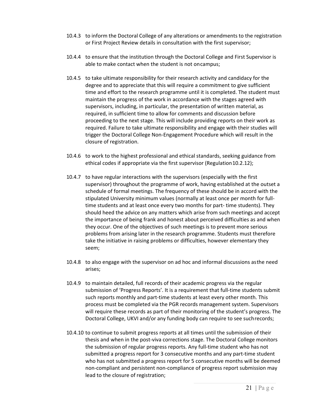- 10.4.3 to inform the Doctoral College of any alterations or amendments to the registration or First Project Review details in consultation with the first supervisor;
- 10.4.4 to ensure that the institution through the Doctoral College and First Supervisor is able to make contact when the student is not oncampus;
- 10.4.5 to take ultimate responsibility for their research activity and candidacy for the degree and to appreciate that this will require a commitment to give sufficient time and effort to the research programme until it is completed. The student must maintain the progress of the work in accordance with the stages agreed with supervisors, including, in particular, the presentation of written material, as required, in sufficient time to allow for comments and discussion before proceeding to the next stage. This will include providing reports on their work as required. Failure to take ultimate responsibility and engage with their studies will trigger the Doctoral College Non-Engagement Procedure which will result in the closure of registration.
- 10.4.6 to work to the highest professional and ethical standards, seeking guidance from ethical codes if appropriate via the first supervisor (Regulation10.2.12);
- 10.4.7 to have regular interactions with the supervisors (especially with the first supervisor) throughout the programme of work, having established at the outset a schedule of formal meetings. The frequency of these should be in accord with the stipulated University minimum values (normally at least once per month for fulltime students and at least once every two months for part- time students). They should heed the advice on any matters which arise from such meetings and accept the importance of being frank and honest about perceived difficulties as and when they occur. One of the objectives of such meetings is to prevent more serious problems from arising later in the research programme. Students must therefore take the initiative in raising problems or difficulties, however elementary they seem;
- 10.4.8 to also engage with the supervisor on ad hoc and informal discussions asthe need arises;
- 10.4.9 to maintain detailed, full records of their academic progress via the regular submission of 'Progress Reports'. It is a requirement that full-time students submit such reports monthly and part-time students at least every other month. This process must be completed via the PGR records management system. Supervisors will require these records as part of their monitoring of the student's progress. The Doctoral College, UKVI and/or any funding body can require to see suchrecords;
- 10.4.10 to continue to submit progress reports at all times until the submission of their thesis and when in the post-viva corrections stage. The Doctoral College monitors the submission of regular progress reports. Any full-time student who has not submitted a progress report for 3 consecutive months and any part-time student who has not submitted a progress report for 5 consecutive months will be deemed non-compliant and persistent non-compliance of progress report submission may lead to the closure of registration;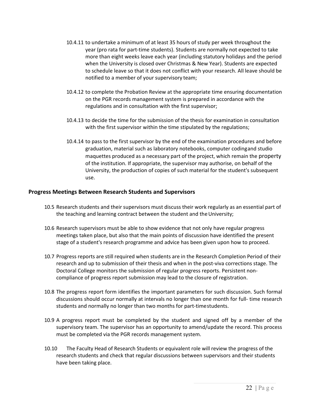- 10.4.11 to undertake a minimum of at least 35 hours of study per week throughout the year (pro rata for part-time students). Students are normally not expected to take more than eight weeks leave each year (including statutory holidays and the period when the University is closed over Christmas & New Year). Students are expected to schedule leave so that it does not conflict with your research. All leave should be notified to a member of your supervisory team;
- 10.4.12 to complete the Probation Review at the appropriate time ensuring documentation on the PGR records management system is prepared in accordance with the regulations and in consultation with the first supervisor;
- 10.4.13 to decide the time for the submission of the thesis for examination in consultation with the first supervisor within the time stipulated by the regulations;
- 10.4.14 to pass to the first supervisor by the end of the examination procedures and before graduation, material such as laboratory notebooks, computer codingand studio maquettes produced as a necessary part of the project, which remain the property of the institution. If appropriate, the supervisor may authorise, on behalf of the University, the production of copies of such material for the student's subsequent use.

#### **Progress Meetings Between Research Students and Supervisors**

- 10.5 Research students and their supervisors must discuss their work regularly as an essential part of the teaching and learning contract between the student and the University;
- 10.6 Research supervisors must be able to show evidence that not only have regular progress meetings taken place, but also that the main points of discussion have identified the present stage of a student's research programme and advice has been given upon how to proceed.
- 10.7 Progress reports are still required when students are in the Research Completion Period of their research and up to submission of their thesis and when in the post-viva corrections stage. The Doctoral College monitors the submission of regular progress reports. Persistent noncompliance of progress report submission may lead to the closure of registration.
- 10.8 The progress report form identifies the important parameters for such discussion. Such formal discussions should occur normally at intervals no longer than one month for full- time research students and normally no longer than two months for part-timestudents.
- 10.9 A progress report must be completed by the student and signed off by a member of the supervisory team. The supervisor has an opportunity to amend/update the record. This process must be completed via the PGR records management system.
- 10.10 The Faculty Head of Research Students or equivalent role will review the progress of the research students and check that regular discussions between supervisors and their students have been taking place.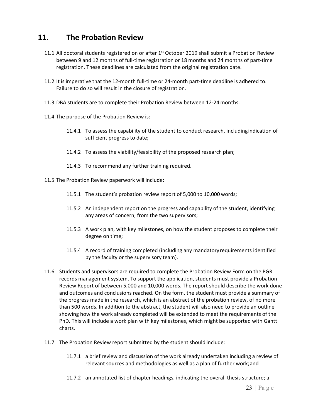### **11. The Probation Review**

- 11.1 All doctoral students registered on or after  $1<sup>st</sup>$  October 2019 shall submit a Probation Review between 9 and 12 months of full-time registration or 18 months and 24 months of part-time registration. These deadlines are calculated from the original registration date.
- 11.2 It is imperative that the 12-month full-time or 24-month part-time deadline is adhered to. Failure to do so will result in the closure of registration.
- 11.3 DBA students are to complete their Probation Review between 12-24 months.
- 11.4 The purpose of the Probation Review is:
	- 11.4.1 To assess the capability of the student to conduct research, includingindication of sufficient progress to date;
	- 11.4.2 To assess the viability/feasibility of the proposed research plan;
	- 11.4.3 To recommend any further training required.
- 11.5 The Probation Review paperwork will include:
	- 11.5.1 The student's probation review report of 5,000 to 10,000 words;
	- 11.5.2 An independent report on the progress and capability of the student, identifying any areas of concern, from the two supervisors;
	- 11.5.3 A work plan, with key milestones, on how the student proposes to complete their degree on time;
	- 11.5.4 A record of training completed (including any mandatoryrequirements identified by the faculty or the supervisory team).
- 11.6 Students and supervisors are required to complete the Probation Review Form on the PGR records management system. To support the application, students must provide a Probation Review Report of between 5,000 and 10,000 words. The report should describe the work done and outcomes and conclusions reached. On the form, the student must provide a summary of the progress made in the research, which is an abstract of the probation review, of no more than 500 words. In addition to the abstract, the student will also need to provide an outline showing how the work already completed will be extended to meet the requirements of the PhD. This will include a work plan with key milestones, which might be supported with Gantt charts.
- 11.7 The Probation Review report submitted by the student should include:
	- 11.7.1 a brief review and discussion of the work already undertaken including a review of relevant sources and methodologies as well as a plan of further work;and
	- 11.7.2 an annotated list of chapter headings, indicating the overall thesis structure; a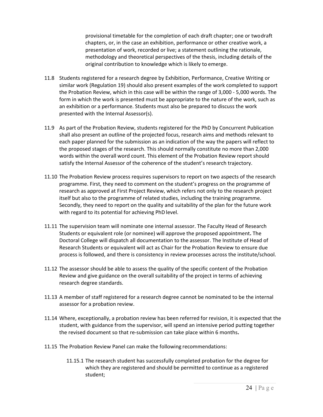provisional timetable for the completion of each draft chapter; one or twodraft chapters, or, in the case an exhibition, performance or other creative work, a presentation of work, recorded or live; a statement outlining the rationale, methodology and theoretical perspectives of the thesis, including details of the original contribution to knowledge which is likely to emerge.

- 11.8 Students registered for a research degree by Exhibition, Performance, Creative Writing or similar work (Regulation 19) should also present examples of the work completed to support the Probation Review, which in this case will be within the range of 3,000 - 5,000 words. The form in which the work is presented must be appropriate to the nature of the work, such as an exhibition or a performance. Students must also be prepared to discuss the work presented with the Internal Assessor(s).
- 11.9 As part of the Probation Review, students registered for the PhD by Concurrent Publication shall also present an outline of the projected focus, research aims and methods relevant to each paper planned for the submission as an indication of the way the papers will reflect to the proposed stages of the research. This should normally constitute no more than 2,000 words within the overall word count. This element of the Probation Review report should satisfy the Internal Assessor of the coherence of the student's research trajectory.
- 11.10 The Probation Review process requires supervisors to report on two aspects of the research programme. First, they need to comment on the student's progress on the programme of research as approved at First Project Review, which refers not only to the research project itself but also to the programme of related studies, including the training programme. Secondly, they need to report on the quality and suitability of the plan for the future work with regard to its potential for achieving PhD level.
- 11.11 The supervision team will nominate one internal assessor. The Faculty Head of Research Students or equivalent role (or nominee) will approve the proposed appointment**.** The Doctoral College will dispatch all documentation to the assessor. The Institute of Head of Research Students or equivalent will act as Chair for the Probation Review to ensure due process is followed, and there is consistency in review processes across the institute/school.
- 11.12 The assessor should be able to assess the quality of the specific content of the Probation Review and give guidance on the overall suitability of the project in terms of achieving research degree standards.
- 11.13 A member of staff registered for a research degree cannot be nominated to be the internal assessor for a probation review.
- 11.14 Where, exceptionally, a probation review has been referred for revision, it is expected that the student, with guidance from the supervisor, will spend an intensive period putting together the revised document so that re-submission can take place within 6 months**.**
- 11.15 The Probation Review Panel can make the following recommendations:
	- 11.15.1 The research student has successfully completed probation for the degree for which they are registered and should be permitted to continue as a registered student;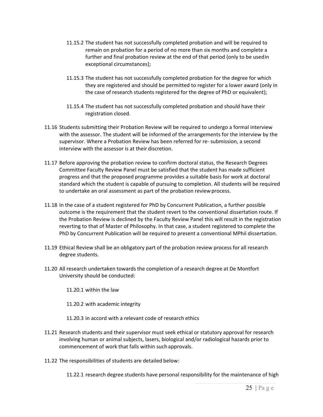- 11.15.2 The student has not successfully completed probation and will be required to remain on probation for a period of no more than six months and complete a further and final probation review at the end of that period (only to be usedin exceptional circumstances);
- 11.15.3 The student has not successfully completed probation for the degree for which they are registered and should be permitted to register for a lower award (only in the case of research students registered for the degree of PhD or equivalent);
- 11.15.4 The student has not successfully completed probation and should have their registration closed.
- 11.16 Students submitting their Probation Review will be required to undergo a formal interview with the assessor. The student will be informed of the arrangements for the interview by the supervisor. Where a Probation Review has been referred for re- submission, a second interview with the assessor is at their discretion.
- 11.17 Before approving the probation review to confirm doctoral status, the Research Degrees Committee Faculty Review Panel must be satisfied that the student has made sufficient progress and that the proposed programme provides a suitable basis for work at doctoral standard which the student is capable of pursuing to completion. All students will be required to undertake an oral assessment as part of the probation review process.
- 11.18 In the case of a student registered for PhD by Concurrent Publication, a further possible outcome is the requirement that the student revert to the conventional dissertation route. If the Probation Review is declined by the Faculty Review Panel this will result in the registration reverting to that of Master of Philosophy. In that case, a student registered to complete the PhD by Concurrent Publication will be required to present a conventional MPhil dissertation.
- 11.19 Ethical Review shall be an obligatory part of the probation review process for all research degree students.
- 11.20 All research undertaken towards the completion of a research degree at De Montfort University should be conducted:
	- 11.20.1 within the law
	- 11.20.2 with academic integrity
	- 11.20.3 in accord with a relevant code of research ethics
- 11.21 Research students and their supervisor must seek ethical or statutory approval for research involving human or animal subjects, lasers, biological and/or radiological hazards prior to commencement of work that falls within such approvals.
- 11.22 The responsibilities of students are detailed below:
	- 11.22.1 research degree students have personal responsibility for the maintenance of high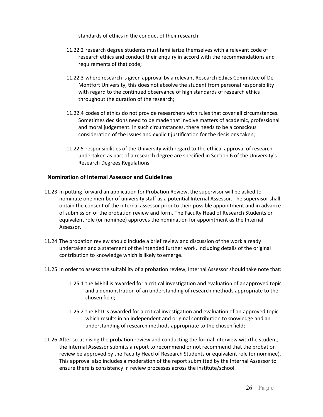standards of ethics in the conduct of their research;

- 11.22.2 research degree students must familiarize themselves with a relevant code of research ethics and conduct their enquiry in accord with the recommendations and requirements of that code;
- 11.22.3 where research is given approval by a relevant Research Ethics Committee of De Montfort University, this does not absolve the student from personal responsibility with regard to the continued observance of high standards of research ethics throughout the duration of the research;
- 11.22.4 codes of ethics do not provide researchers with rules that cover all circumstances. Sometimes decisions need to be made that involve matters of academic, professional and moral judgement. In such circumstances, there needs to be a conscious consideration of the issues and explicit justification for the decisions taken;
- 11.22.5 responsibilities of the University with regard to the ethical approval of research undertaken as part of a research degree are specified in Section 6 of the University's Research Degrees Regulations.

#### **Nomination of Internal Assessor and Guidelines**

- 11.23 In putting forward an application for Probation Review, the supervisor will be asked to nominate one member of university staff as a potential Internal Assessor. The supervisor shall obtain the consent of the internal assessor prior to their possible appointment and in advance of submission of the probation review and form. The Faculty Head of Research Students or equivalent role (or nominee) approves the nomination for appointment as the Internal Assessor.
- 11.24 The probation review should include a brief review and discussion of the work already undertaken and a statement of the intended further work, including details of the original contribution to knowledge which is likely to emerge.
- 11.25 In order to assess the suitability of a probation review, Internal Assessor should take note that:
	- 11.25.1 the MPhil is awarded for a critical investigation and evaluation of anapproved topic and a demonstration of an understanding of research methods appropriate to the chosen field;
	- 11.25.2 the PhD is awarded for a critical investigation and evaluation of an approved topic which results in an independent and original contribution toknowledge and an understanding of research methods appropriate to the chosenfield;
- 11.26 After scrutinising the probation review and conducting the formal interview withthe student, the Internal Assessor submits a report to recommend or not recommend that the probation review be approved by the Faculty Head of Research Students or equivalent role (or nominee). This approval also includes a moderation of the report submitted by the Internal Assessor to ensure there is consistency in review processes across the institute/school.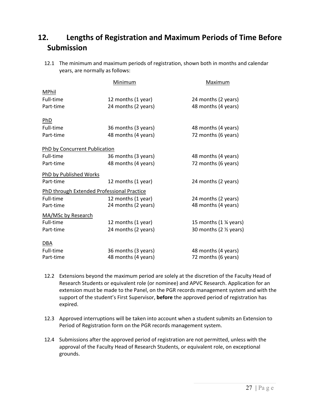### **12. Lengths of Registration and Maximum Periods of Time Before Submission**

12.1 The minimum and maximum periods of registration, shown both in months and calendar years, are normally as follows:

|                               | Minimum                                    | Maximum                 |
|-------------------------------|--------------------------------------------|-------------------------|
| MPhil                         |                                            |                         |
| Full-time                     | 12 months (1 year)                         | 24 months (2 years)     |
| Part-time                     | 24 months (2 years)                        | 48 months (4 years)     |
| PhD                           |                                            |                         |
| Full-time                     | 36 months (3 years)                        | 48 months (4 years)     |
| Part-time                     | 48 months (4 years)                        | 72 months (6 years)     |
| PhD by Concurrent Publication |                                            |                         |
| Full-time                     | 36 months (3 years)                        | 48 months (4 years)     |
| Part-time                     | 48 months (4 years)                        | 72 months (6 years)     |
| PhD by Published Works        |                                            |                         |
| Part-time                     | 12 months (1 year)                         | 24 months (2 years)     |
|                               | PhD through Extended Professional Practice |                         |
| Full-time                     | 12 months (1 year)                         | 24 months (2 years)     |
| Part-time                     | 24 months (2 years)                        | 48 months (4 years)     |
| MA/MSc by Research            |                                            |                         |
| Full-time                     | 12 months (1 year)                         | 15 months (1 % years)   |
| Part-time                     | 24 months (2 years)                        | 30 months (2 1/2 years) |
| DBA                           |                                            |                         |
| Full-time                     | 36 months (3 years)                        | 48 months (4 years)     |
| Part-time                     | 48 months (4 years)                        | 72 months (6 years)     |

- 12.2 Extensions beyond the maximum period are solely at the discretion of the Faculty Head of Research Students or equivalent role (or nominee) and APVC Research. Application for an extension must be made to the Panel, on the PGR records management system and with the support of the student's First Supervisor, **before** the approved period of registration has expired.
- 12.3 Approved interruptions will be taken into account when a student submits an Extension to Period of Registration form on the PGR records management system.
- 12.4 Submissions after the approved period of registration are not permitted, unless with the approval of the Faculty Head of Research Students, or equivalent role, on exceptional grounds.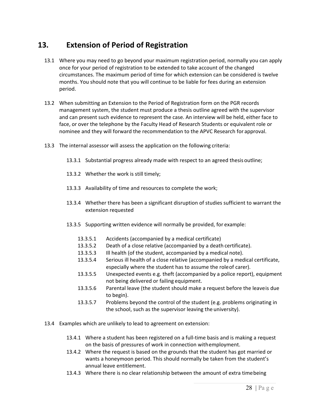### **13. Extension of Period of Registration**

- 13.1 Where you may need to go beyond your maximum registration period, normally you can apply once for your period of registration to be extended to take account of the changed circumstances. The maximum period of time for which extension can be considered is twelve months. You should note that you will continue to be liable for fees during an extension period.
- 13.2 When submitting an Extension to the Period of Registration form on the PGR records management system, the student must produce a thesis outline agreed with the supervisor and can present such evidence to represent the case. An interview will be held, either face to face, or over the telephone by the Faculty Head of Research Students or equivalent role or nominee and they will forward the recommendation to the APVC Research for approval.
- 13.3 The internal assessor will assess the application on the following criteria:
	- 13.3.1 Substantial progress already made with respect to an agreed thesis outline;
	- 13.3.2 Whether the work is still timely;
	- 13.3.3 Availability of time and resources to complete the work;
	- 13.3.4 Whether there has been a significant disruption of studies sufficient to warrant the extension requested
	- 13.3.5 Supporting written evidence will normally be provided, for example:
		- 13.3.5.1 Accidents (accompanied by a medical certificate)
		- 13.3.5.2 Death of a close relative (accompanied by a death certificate).
		- 13.3.5.3 Ill health (of the student, accompanied by a medical note).
		- 13.3.5.4 Serious ill health of a close relative (accompanied by a medical certificate, especially where the student has to assume the roleof carer).
		- 13.3.5.5 Unexpected events e.g. theft (accompanied by a police report), equipment not being delivered or failing equipment.
		- 13.3.5.6 Parental leave (the student should make a request before the leaveis due to begin).
		- 13.3.5.7 Problems beyond the control of the student (e.g. problems originating in the school, such as the supervisor leaving the university).
- 13.4 Examples which are unlikely to lead to agreement on extension:
	- 13.4.1 Where a student has been registered on a full-time basis and is making a request on the basis of pressures of work in connection withemployment.
	- 13.4.2 Where the request is based on the grounds that the student has got married or wants a honeymoon period. This should normally be taken from the student's annual leave entitlement.
	- 13.4.3 Where there is no clear relationship between the amount of extra timebeing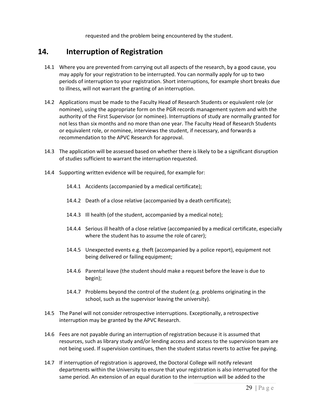requested and the problem being encountered by the student.

### **14. Interruption of Registration**

- 14.1 Where you are prevented from carrying out all aspects of the research, by a good cause, you may apply for your registration to be interrupted. You can normally apply for up to two periods of interruption to your registration. Short interruptions, for example short breaks due to illness, will not warrant the granting of an interruption.
- 14.2 Applications must be made to the Faculty Head of Research Students or equivalent role (or nominee), using the appropriate form on the PGR records management system and with the authority of the First Supervisor (or nominee). Interruptions of study are normally granted for not less than six months and no more than one year. The Faculty Head of Research Students or equivalent role, or nominee, interviews the student, if necessary, and forwards a recommendation to the APVC Research for approval.
- 14.3 The application will be assessed based on whether there is likely to be a significant disruption of studies sufficient to warrant the interruption requested.
- 14.4 Supporting written evidence will be required, for example for:
	- 14.4.1 Accidents (accompanied by a medical certificate);
	- 14.4.2 Death of a close relative (accompanied by a death certificate);
	- 14.4.3 Ill health (of the student, accompanied by a medical note);
	- 14.4.4 Serious ill health of a close relative (accompanied by a medical certificate, especially where the student has to assume the role of carer);
	- 14.4.5 Unexpected events e.g. theft (accompanied by a police report), equipment not being delivered or failing equipment;
	- 14.4.6 Parental leave (the student should make a request before the leave is due to begin);
	- 14.4.7 Problems beyond the control of the student (e.g. problems originating in the school, such as the supervisor leaving the university).
- 14.5 The Panel will not consider retrospective interruptions. Exceptionally, a retrospective interruption may be granted by the APVC Research.
- 14.6 Fees are not payable during an interruption of registration because it is assumed that resources, such as library study and/or lending access and access to the supervision team are not being used. If supervision continues, then the student status reverts to active fee paying.
- 14.7 If interruption of registration is approved, the Doctoral College will notify relevant departments within the University to ensure that your registration is also interrupted for the same period. An extension of an equal duration to the interruption will be added to the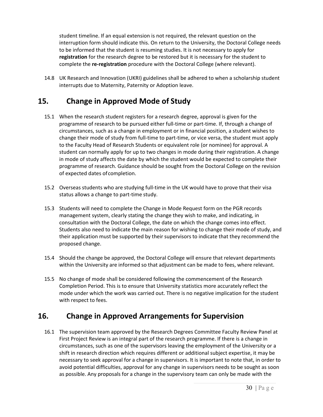student timeline. If an equal extension is not required, the relevant question on the interruption form should indicate this. On return to the University, the Doctoral College needs to be informed that the student is resuming studies. It is not necessary to apply for **registration** for the research degree to be restored but it is necessary for the student to complete the **re-registration** procedure with the Doctoral College (where relevant).

14.8 UK Research and Innovation (UKRI) guidelines shall be adhered to when a scholarship student interrupts due to Maternity, Paternity or Adoption leave.

### **15. Change in Approved Mode of Study**

- 15.1 When the research student registers for a research degree, approval is given for the programme of research to be pursued either full-time or part-time. If, through a change of circumstances, such as a change in employment or in financial position, a student wishes to change their mode of study from full-time to part-time, or vice versa, the student must apply to the Faculty Head of Research Students or equivalent role (or nominee) for approval. A student can normally apply for up to two changes in mode during their registration. A change in mode of study affects the date by which the student would be expected to complete their programme of research. Guidance should be sought from the Doctoral College on the revision of expected dates ofcompletion.
- 15.2 Overseas students who are studying full-time in the UK would have to prove that their visa status allows a change to part-time study.
- 15.3 Students will need to complete the Change in Mode Request form on the PGR records management system, clearly stating the change they wish to make, and indicating, in consultation with the Doctoral College, the date on which the change comes into effect. Students also need to indicate the main reason for wishing to change their mode of study, and their application must be supported by their supervisors to indicate that they recommend the proposed change.
- 15.4 Should the change be approved, the Doctoral College will ensure that relevant departments within the University are informed so that adjustment can be made to fees, where relevant.
- 15.5 No change of mode shall be considered following the commencement of the Research Completion Period. This is to ensure that University statistics more accurately reflect the mode under which the work was carried out. There is no negative implication for the student with respect to fees.

### **16. Change in Approved Arrangements for Supervision**

16.1 The supervision team approved by the Research Degrees Committee Faculty Review Panel at First Project Review is an integral part of the research programme. If there is a change in circumstances, such as one of the supervisors leaving the employment of the University or a shift in research direction which requires different or additional subject expertise, it may be necessary to seek approval for a change in supervisors. It is important to note that, in order to avoid potential difficulties, approval for any change in supervisors needs to be sought as soon as possible. Any proposals for a change in the supervisory team can only be made with the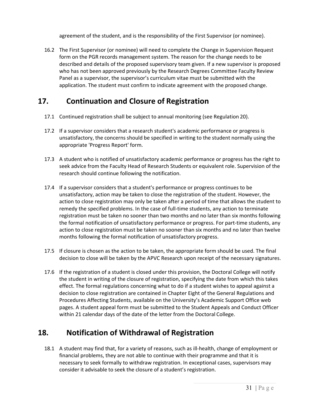agreement of the student, and is the responsibility of the First Supervisor (or nominee).

16.2 The First Supervisor (or nominee) will need to complete the Change in Supervision Request form on the PGR records management system. The reason for the change needs to be described and details of the proposed supervisory team given. If a new supervisor is proposed who has not been approved previously by the Research Degrees Committee Faculty Review Panel as a supervisor, the supervisor's curriculum vitae must be submitted with the application. The student must confirm to indicate agreement with the proposed change.

### **17. Continuation and Closure of Registration**

- 17.1 Continued registration shall be subject to annual monitoring (see Regulation 20).
- 17.2 If a supervisor considers that a research student's academic performance or progress is unsatisfactory, the concerns should be specified in writing to the student normally using the appropriate 'Progress Report' form.
- 17.3 A student who is notified of unsatisfactory academic performance or progress has the right to seek advice from the Faculty Head of Research Students or equivalent role. Supervision of the research should continue following the notification.
- 17.4 If a supervisor considers that a student's performance or progress continues to be unsatisfactory, action may be taken to close the registration of the student. However, the action to close registration may only be taken after a period of time that allows the student to remedy the specified problems. In the case of full-time students, any action to terminate registration must be taken no sooner than two months and no later than six months following the formal notification of unsatisfactory performance or progress. For part-time students, any action to close registration must be taken no sooner than six months and no later than twelve months following the formal notification of unsatisfactory progress.
- 17.5 If closure is chosen as the action to be taken, the appropriate form should be used. The final decision to close will be taken by the APVC Research upon receipt of the necessary signatures.
- 17.6 If the registration of a student is closed under this provision, the Doctoral College will notify the student in writing of the closure of registration, specifying the date from which this takes effect. The formal regulations concerning what to do if a student wishes to appeal against a decision to close registration are contained in Chapter Eight of the General Regulations and Procedures Affecting Students, available on the University's Academic Support Office web pages. A student appeal form must be submitted to the Student Appeals and Conduct Officer within 21 calendar days of the date of the letter from the Doctoral College.

### **18. Notification of Withdrawal of Registration**

18.1 A student may find that, for a variety of reasons, such as ill-health, change of employment or financial problems, they are not able to continue with their programme and that it is necessary to seek formally to withdraw registration. In exceptional cases, supervisors may consider it advisable to seek the closure of a student's registration.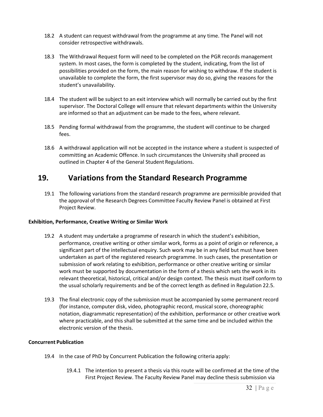- 18.2 A student can request withdrawal from the programme at any time. The Panel will not consider retrospective withdrawals.
- 18.3 The Withdrawal Request form will need to be completed on the PGR records management system. In most cases, the form is completed by the student, indicating, from the list of possibilities provided on the form, the main reason for wishing to withdraw. If the student is unavailable to complete the form, the first supervisor may do so, giving the reasons for the student's unavailability.
- 18.4 The student will be subject to an exit interview which will normally be carried out by the first supervisor. The Doctoral College will ensure that relevant departments within the University are informed so that an adjustment can be made to the fees, where relevant.
- 18.5 Pending formal withdrawal from the programme, the student will continue to be charged fees.
- 18.6 A withdrawal application will not be accepted in the instance where a student is suspected of committing an Academic Offence. In such circumstances the University shall proceed as outlined in Chapter 4 of the General Student Regulations.

### **19. Variations from the Standard Research Programme**

19.1 The following variations from the standard research programme are permissible provided that the approval of the Research Degrees Committee Faculty Review Panel is obtained at First Project Review.

#### **Exhibition, Performance, Creative Writing or Similar Work**

- 19.2 A student may undertake a programme of research in which the student's exhibition, performance, creative writing or other similar work, forms as a point of origin or reference, a significant part of the intellectual enquiry. Such work may be in any field but must have been undertaken as part of the registered research programme. In such cases, the presentation or submission of work relating to exhibition, performance or other creative writing or similar work must be supported by documentation in the form of a thesis which sets the work in its relevant theoretical, historical, critical and/or design context. The thesis must itself conform to the usual scholarly requirements and be of the correct length as defined in Regulation 22.5.
- 19.3 The final electronic copy of the submission must be accompanied by some permanent record (for instance, computer disk, video, photographic record, musical score, choreographic notation, diagrammatic representation) of the exhibition, performance or other creative work where practicable, and this shall be submitted at the same time and be included within the electronic version of the thesis.

#### **Concurrent Publication**

- 19.4 In the case of PhD by Concurrent Publication the following criteria apply:
	- 19.4.1 The intention to present a thesis via this route will be confirmed at the time of the First Project Review. The Faculty Review Panel may decline thesis submission via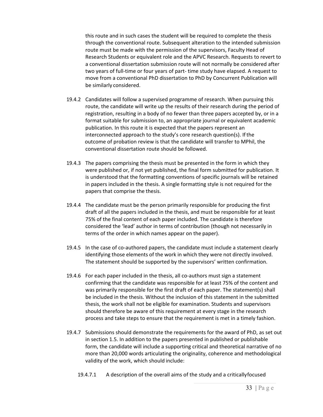this route and in such cases the student will be required to complete the thesis through the conventional route. Subsequent alteration to the intended submission route must be made with the permission of the supervisors, Faculty Head of Research Students or equivalent role and the APVC Research. Requests to revert to a conventional dissertation submission route will not normally be considered after two years of full-time or four years of part- time study have elapsed. A request to move from a conventional PhD dissertation to PhD by Concurrent Publication will be similarly considered.

- 19.4.2 Candidates will follow a supervised programme of research. When pursuing this route, the candidate will write up the results of their research during the period of registration, resulting in a body of no fewer than three papers accepted by, or in a format suitable for submission to, an appropriate journal or equivalent academic publication. In this route it is expected that the papers represent an interconnected approach to the study's core research question(s). Ifthe outcome of probation review is that the candidate will transfer to MPhil, the conventional dissertation route should be followed.
- 19.4.3 The papers comprising the thesis must be presented in the form in which they were published or, if not yet published, the final form submitted for publication. It is understood that the formatting conventions of specific journals will be retained in papers included in the thesis. A single formatting style is not required for the papers that comprise the thesis.
- 19.4.4 The candidate must be the person primarily responsible for producing the first draft of all the papers included in the thesis, and must be responsible for at least 75% of the final content of each paper included. The candidate is therefore considered the 'lead' author in terms of contribution (though not necessarily in terms of the order in which names appear on the paper).
- 19.4.5 In the case of co-authored papers, the candidate must include a statement clearly identifying those elements of the work in which they were not directly involved. The statement should be supported by the supervisors' written confirmation.
- 19.4.6 For each paper included in the thesis, all co-authors must sign a statement confirming that the candidate was responsible for at least 75% of the content and was primarily responsible for the first draft of each paper. The statement(s) shall be included in the thesis. Without the inclusion of this statement in the submitted thesis, the work shall not be eligible for examination. Students and supervisors should therefore be aware of this requirement at every stage in the research process and take steps to ensure that the requirement is met in a timely fashion.
- 19.4.7 Submissions should demonstrate the requirements for the award of PhD, as set out in section 1.5. In addition to the papers presented in published or publishable form, the candidate will include a supporting critical and theoretical narrative of no more than 20,000 words articulating the originality, coherence and methodological validity of the work, which should include:
	- 19.4.7.1 A description of the overall aims of the study and a criticallyfocused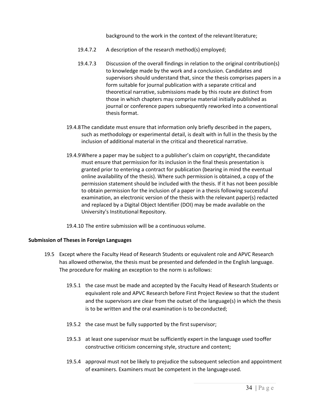background to the work in the context of the relevant literature;

- 19.4.7.2 A description of the research method(s) employed;
- 19.4.7.3 Discussion of the overall findings in relation to the original contribution(s) to knowledge made by the work and a conclusion. Candidates and supervisors should understand that, since the thesis comprises papers in a form suitable for journal publication with a separate critical and theoretical narrative, submissions made by this route are distinct from those in which chapters may comprise material initially published as journal or conference papers subsequently reworked into a conventional thesis format.
- 19.4.8The candidate must ensure that information only briefly described in the papers, such as methodology or experimental detail, is dealt with in full in the thesis by the inclusion of additional material in the critical and theoretical narrative.
- 19.4.9Where a paper may be subject to a publisher's claim on copyright, thecandidate must ensure that permission for its inclusion in the final thesis presentation is granted prior to entering a contract for publication (bearing in mind the eventual online availability of the thesis). Where such permission is obtained, a copy of the permission statement should be included with the thesis. If it has not been possible to obtain permission for the inclusion of a paper in a thesis following successful examination, an electronic version of the thesis with the relevant paper(s) redacted and replaced by a Digital Object Identifier (DOI) may be made available on the University's Institutional Repository.

19.4.10 The entire submission will be a continuous volume.

#### **Submission of Theses in Foreign Languages**

- 19.5 Except where the Faculty Head of Research Students or equivalent role and APVC Research has allowed otherwise, the thesis must be presented and defended in the English language. The procedure for making an exception to the norm is asfollows:
	- 19.5.1 the case must be made and accepted by the Faculty Head of Research Students or equivalent role and APVC Research before First Project Review so that the student and the supervisors are clear from the outset of the language(s) in which the thesis is to be written and the oral examination is to beconducted;
	- 19.5.2 the case must be fully supported by the first supervisor;
	- 19.5.3 at least one supervisor must be sufficiently expert in the language used tooffer constructive criticism concerning style, structure and content;
	- 19.5.4 approval must not be likely to prejudice the subsequent selection and appointment of examiners. Examiners must be competent in the languageused.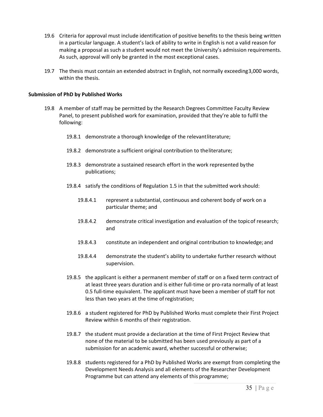- 19.6 Criteria for approval must include identification of positive benefits to the thesis being written in a particular language. A student's lack of ability to write in English is not a valid reason for making a proposal as such a student would not meet the University's admission requirements. As such, approval will only be granted in the most exceptional cases.
- 19.7 The thesis must contain an extended abstract in English, not normally exceeding3,000 words, within the thesis.

#### **Submission of PhD by Published Works**

- 19.8 A member of staff may be permitted by the Research Degrees Committee Faculty Review Panel, to present published work for examination, provided that they're able to fulfil the following:
	- 19.8.1 demonstrate a thorough knowledge of the relevantliterature;
	- 19.8.2 demonstrate a sufficient original contribution to theliterature;
	- 19.8.3 demonstrate a sustained research effort in the work represented bythe publications;
	- 19.8.4 satisfy the conditions of Regulation 1.5 in that the submitted work should:
		- 19.8.4.1 represent a substantial, continuous and coherent body of work on a particular theme; and
		- 19.8.4.2 demonstrate critical investigation and evaluation of the topicof research; and
		- 19.8.4.3 constitute an independent and original contribution to knowledge; and
		- 19.8.4.4 demonstrate the student's ability to undertake further research without supervision.
	- 19.8.5 the applicant is either a permanent member of staff or on a fixed term contract of at least three years duration and is either full-time or pro-rata normally of at least 0.5 full-time equivalent. The applicant must have been a member of staff for not less than two years at the time of registration;
	- 19.8.6 a student registered for PhD by Published Works must complete their First Project Review within 6 months of their registration.
	- 19.8.7 the student must provide a declaration at the time of First Project Review that none of the material to be submitted has been used previously as part of a submission for an academic award, whether successful or otherwise;
	- 19.8.8 students registered for a PhD by Published Works are exempt from completing the Development Needs Analysis and all elements of the Researcher Development Programme but can attend any elements of this programme;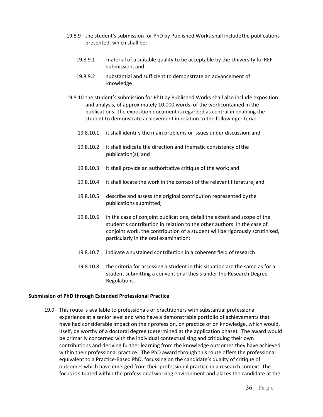- 19.8.9 the student's submission for PhD by Published Works shall includethe publications presented, which shall be:
	- 19.8.9.1 material of a suitable quality to be acceptable by the University forREF submission; and
	- 19.8.9.2 substantial and sufficient to demonstrate an advancement of knowledge
- 19.8.10 the student's submission for PhD by Published Works shall also include exposition and analysis, of approximately 10,000 words, of the workcontained in the publications. The exposition document is regarded as central in enabling the student to demonstrate achievement in relation to the followingcriteria:
	- 19.8.10.1 it shall identify the main problems or issues under discussion; and
	- 19.8.10.2 it shall indicate the direction and thematic consistency ofthe publication(s); and
	- 19.8.10.3 it shall provide an authoritative critique of the work; and
	- 19.8.10.4 it shall locate the work in the context of the relevant literature; and
	- 19.8.10.5 describe and assess the original contribution represented bythe publications submitted;
	- 19.8.10.6 in the case of conjoint publications, detail the extent and scope of the student's contribution in relation to the other authors. In the case of conjoint work, the contribution of a student will be rigorously scrutinised, particularly in the oral examination;
	- 19.8.10.7 indicate a sustained contribution in a coherent field ofresearch
	- 19.8.10.8 the criteria for assessing a student in this situation are the same as for a student submitting a conventional thesis under the Research Degree Regulations.

#### **Submission of PhD through Extended Professional Practice**

19.9 This route is available to professionals or practitioners with substantial professional experience at a senior level and who have a demonstrable portfolio of achievements that have had considerable impact on their profession, on practice or on knowledge, which would, itself, be worthy of a doctoral degree (determined at the application phase). The award would be primarily concerned with the individual contextualising and critiquing their own contributions and deriving further learning from the knowledge outcomes they have achieved within their professional practice. The PhD award through this route offers the professional equivalent to a Practice-Based PhD, focussing on the candidate's quality of critique of outcomes which have emerged from their professional practice in a research context. The focus is situated within the professional working environment and places the candidate at the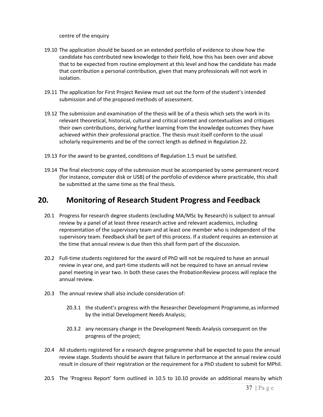centre of the enquiry

- 19.10 The application should be based on an extended portfolio of evidence to show how the candidate has contributed new knowledge to their field, how this has been over and above that to be expected from routine employment at this level and how the candidate has made that contribution a personal contribution, given that many professionals will not work in isolation.
- 19.11 The application for First Project Review must set out the form of the student's intended submission and of the proposed methods of assessment.
- 19.12 The submission and examination of the thesis will be of a thesis which sets the work in its relevant theoretical, historical, cultural and critical context and contextualises and critiques their own contributions, deriving further learning from the knowledge outcomes they have achieved within their professional practice. The thesis must itself conform to the usual scholarly requirements and be of the correct length as defined in Regulation 22.
- 19.13 For the award to be granted, conditions of Regulation 1.5 must be satisfied.
- 19.14 The final electronic copy of the submission must be accompanied by some permanent record (for instance, computer disk or USB) of the portfolio of evidence where practicable, this shall be submitted at the same time as the final thesis.

### **20. Monitoring of Research Student Progress and Feedback**

- 20.1 Progress for research degree students (excluding MA/MSc by Research) is subject to annual review by a panel of at least three research active and relevant academics, including representation of the supervisory team and at least one member who is independent of the supervisory team. Feedback shall be part of this process. If a student requires an extension at the time that annual review is due then this shall form part of the discussion.
- 20.2 Full-time students registered for the award of PhD will not be required to have an annual review in year one, and part-time students will not be required to have an annual review panel meeting in year two. In both these cases the ProbationReview process will replace the annual review.
- 20.3 The annual review shall also include consideration of:
	- 20.3.1 the student's progress with the Researcher Development Programme,as informed by the initial Development Needs Analysis;
	- 20.3.2 any necessary change in the Development Needs Analysis consequent on the progress of the project;
- 20.4 All students registered for a research degree programme shall be expected to pass the annual review stage. Students should be aware that failure in performance at the annual review could result in closure of their registration or the requirement for a PhD student to submit for MPhil.
- 20.5 The 'Progress Report' form outlined in 10.5 to 10.10 provide an additional meansby which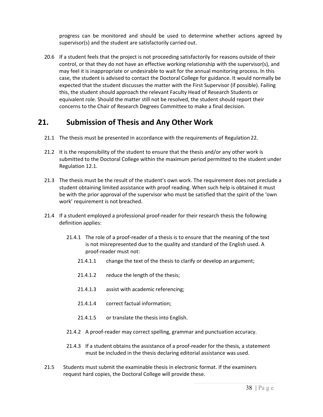progress can be monitored and should be used to determine whether actions agreed by supervisor(s) and the student are satisfactorily carried out.

20.6 If a student feels that the project is not proceeding satisfactorily for reasons outside of their control, or that they do not have an effective working relationship with the supervisor(s), and may feel it is inappropriate or undesirable to wait for the annual monitoring process. In this case, the student is advised to contact the Doctoral College for guidance. It would normally be expected that the student discusses the matter with the First Supervisor (if possible). Failing this, the student should approach the relevant Faculty Head of Research Students or equivalent role. Should the matter still not be resolved, the student should report their concerns to the Chair of Research Degrees Committee to make a final decision.

### **21. Submission of Thesis and Any Other Work**

- 21.1 The thesis must be presented in accordance with the requirements of Regulation 22.
- 21.2 It is the responsibility of the student to ensure that the thesis and/or any other work is submitted to the Doctoral College within the maximum period permitted to the student under Regulation 12.1.
- 21.3 The thesis must be the result of the student's own work. The requirement does not preclude a student obtaining limited assistance with proof reading. When such help is obtained it must be with the prior approval of the supervisor who must be satisfied that the spirit of the 'own work' requirement is not breached.
- 21.4 If a student employed a professional proof-reader for their research thesis the following definition applies:
	- 21.4.1 The role of a proof-reader of a thesis is to ensure that the meaning of the text is not misrepresented due to the quality and standard of the English used. A proof-reader must not:
		- 21.4.1.1 change the text of the thesis to clarify or develop an argument;
		- 21.4.1.2 reduce the length of the thesis;
		- 21.4.1.3 assist with academic referencing;
		- 21.4.1.4 correct factual information;
		- 21.4.1.5 or translate the thesis into English.
	- 21.4.2 A proof-reader may correct spelling, grammar and punctuation accuracy.
	- 21.4.3 If a student obtains the assistance of a proof-reader for the thesis, a statement must be included in the thesis declaring editorial assistance was used.
- 21.5 Students must submit the examinable thesis in electronic format. If the examiners request hard copies, the Doctoral College will provide these.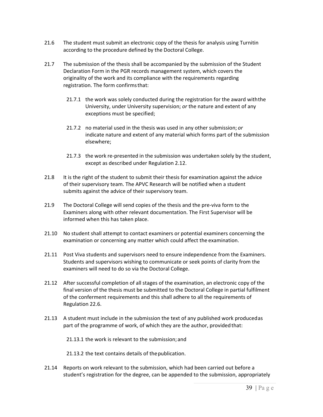- 21.6 The student must submit an electronic copy of the thesis for analysis using Turnitin according to the procedure defined by the Doctoral College.
- 21.7 The submission of the thesis shall be accompanied by the submission of the Student Declaration Form in the PGR records management system, which covers the originality of the work and its compliance with the requirements regarding registration. The form confirmsthat:
	- 21.7.1 the work was solely conducted during the registration for the award withthe University, under University supervision; *or* the nature and extent of any exceptions must be specified;
	- 21.7.2 no material used in the thesis was used in any other submission; *or* indicate nature and extent of any material which forms part of the submission elsewhere;
	- 21.7.3 the work re-presented in the submission was undertaken solely by the student, except as described under Regulation 2.12.
- 21.8 It is the right of the student to submit their thesis for examination against the advice of their supervisory team. The APVC Research will be notified when a student submits against the advice of their supervisory team.
- 21.9 The Doctoral College will send copies of the thesis and the pre-viva form to the Examiners along with other relevant documentation. The First Supervisor will be informed when this has taken place.
- 21.10 No student shall attempt to contact examiners or potential examiners concerning the examination or concerning any matter which could affect the examination.
- 21.11 Post Viva students and supervisors need to ensure independence from the Examiners. Students and supervisors wishing to communicate or seek points of clarity from the examiners will need to do so via the Doctoral College.
- 21.12 After successful completion of all stages of the examination, an electronic copy of the final version of the thesis must be submitted to the Doctoral College in partial fulfilment of the conferment requirements and this shall adhere to all the requirements of Regulation 22.6.
- 21.13 A student must include in the submission the text of any published work producedas part of the programme of work, of which they are the author, provided that:

21.13.1 the work is relevant to the submission; and

21.13.2 the text contains details of thepublication.

21.14 Reports on work relevant to the submission, which had been carried out before a student's registration for the degree, can be appended to the submission, appropriately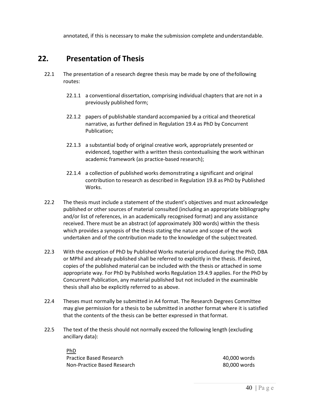annotated, if this is necessary to make the submission complete andunderstandable.

### **22. Presentation of Thesis**

- 22.1 The presentation of a research degree thesis may be made by one of thefollowing routes:
	- 22.1.1 a conventional dissertation, comprising individual chapters that are not in a previously published form;
	- 22.1.2 papers of publishable standard accompanied by a critical and theoretical narrative, as further defined in Regulation 19.4 as PhD by Concurrent Publication;
	- 22.1.3 a substantial body of original creative work, appropriately presented or evidenced, together with a written thesis contextualising the work withinan academic framework (as practice-based research);
	- 22.1.4 a collection of published works demonstrating a significant and original contribution to research as described in Regulation 19.8 as PhD by Published Works.
- 22.2 The thesis must include a statement of the student's objectives and must acknowledge published or other sources of material consulted (including an appropriate bibliography and/or list of references, in an academically recognised format) and any assistance received. There must be an abstract (of approximately 300 words) within the thesis which provides a synopsis of the thesis stating the nature and scope of the work undertaken and of the contribution made to the knowledge of the subjecttreated.
- 22.3 With the exception of PhD by Published Works material produced during the PhD, DBA or MPhil and already published shall be referred to explicitly in the thesis. If desired, copies of the published material can be included with the thesis or attached in some appropriate way. For PhD by Published works Regulation 19.4.9 applies. For the PhD by Concurrent Publication, any material published but not included in the examinable thesis shall also be explicitly referred to as above.
- 22.4 Theses must normally be submitted in A4 format. The Research Degrees Committee may give permission for a thesis to be submitted in another format where it is satisfied that the contents of the thesis can be better expressed in that format.
- 22.5 The text of the thesis should not normally exceed the following length (excluding ancillary data):

PhD Practice Based Research **1000 and 1000 words** 20,000 words Non-Practice Based Research 80,000 words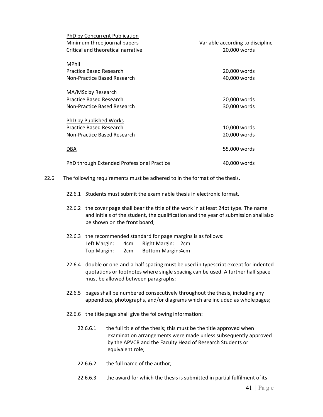| PhD by Concurrent Publication<br>Minimum three journal papers | Variable according to discipline |
|---------------------------------------------------------------|----------------------------------|
| Critical and theoretical narrative                            | 20,000 words                     |
| MPhil                                                         |                                  |
| Practice Based Research                                       | 20,000 words                     |
| Non-Practice Based Research                                   | 40,000 words                     |
| MA/MSc by Research                                            |                                  |
| <b>Practice Based Research</b>                                | 20,000 words                     |
| Non-Practice Based Research                                   | 30,000 words                     |
| PhD by Published Works                                        |                                  |
| Practice Based Research                                       | 10,000 words                     |
| Non-Practice Based Research                                   | 20,000 words                     |
| <u>DBA</u>                                                    | 55,000 words                     |
| PhD through Extended Professional Practice                    | 40,000 words                     |

- 22.6 The following requirements must be adhered to in the format of the thesis.
	- 22.6.1 Students must submit the examinable thesis in electronic format.
	- 22.6.2 the cover page shall bear the title of the work in at least 24pt type. The name and initials of the student, the qualification and the year of submission shallalso be shown on the front board;
	- 22.6.3 the recommended standard for page margins is as follows: Left Margin: 4cm Right Margin: 2cm Top Margin: 2cm Bottom Margin:4cm
	- 22.6.4 double or one-and-a-half spacing must be used in typescript except for indented quotations or footnotes where single spacing can be used. A further half space must be allowed between paragraphs;
	- 22.6.5 pages shall be numbered consecutively throughout the thesis, including any appendices, photographs, and/or diagrams which are included as wholepages;
	- 22.6.6 the title page shall give the following information:
		- 22.6.6.1 the full title of the thesis; this must be the title approved when examination arrangements were made unless subsequently approved by the APVCR and the Faculty Head of Research Students or equivalent role;
		- 22.6.6.2 the full name of the author;
		- 22.6.6.3 the award for which the thesis is submitted in partial fulfilment ofits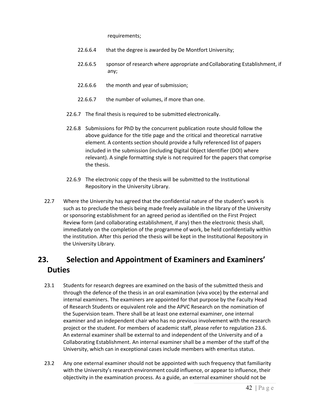requirements;

- 22.6.6.4 that the degree is awarded by De Montfort University;
- 22.6.6.5 sponsor of research where appropriate and Collaborating Establishment, if any;
- 22.6.6.6 the month and year of submission;
- 22.6.6.7 the number of volumes, if more than one.
- 22.6.7 The final thesis is required to be submitted electronically.
- 22.6.8 Submissions for PhD by the concurrent publication route should follow the above guidance for the title page and the critical and theoretical narrative element. A contents section should provide a fully referenced list of papers included in the submission (including Digital Object Identifier (DOI) where relevant). A single formatting style is not required for the papers that comprise the thesis.
- 22.6.9 The electronic copy of the thesis will be submitted to the Institutional Repository in the University Library.
- 22.7 Where the University has agreed that the confidential nature of the student's work is such as to preclude the thesis being made freely available in the library of the University or sponsoring establishment for an agreed period as identified on the First Project Review form (and collaborating establishment, if any) then the electronic thesis shall, immediately on the completion of the programme of work, be held confidentially within the institution. After this period the thesis will be kept in the Institutional Repository in the University Library.

### **23. Selection and Appointment of Examiners and Examiners' Duties**

- 23.1 Students for research degrees are examined on the basis of the submitted thesis and through the defence of the thesis in an oral examination (viva voce) by the external and internal examiners. The examiners are appointed for that purpose by the Faculty Head of Research Students or equivalent role and the APVC Research on the nomination of the Supervision team. There shall be at least one external examiner, one internal examiner and an independent chair who has no previous involvement with the research project or the student. For members of academic staff, please refer to regulation 23.6. An external examiner shall be external to and independent of the University and of a Collaborating Establishment. An internal examiner shall be a member of the staff of the University, which can in exceptional cases include members with emeritus status.
- 23.2 Any one external examiner should not be appointed with such frequency that familiarity with the University's research environment could influence, or appear to influence, their objectivity in the examination process. As a guide, an external examiner should not be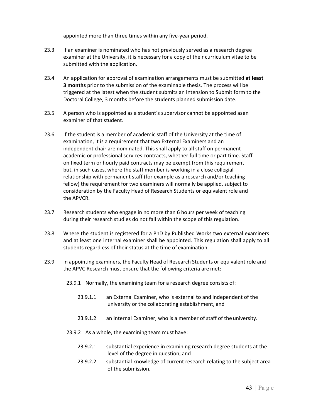appointed more than three times within any five-year period.

- 23.3 If an examiner is nominated who has not previously served as a research degree examiner at the University, it is necessary for a copy of their curriculum vitae to be submitted with the application.
- 23.4 An application for approval of examination arrangements must be submitted **at least 3 months** prior to the submission of the examinable thesis. The process will be triggered at the latest when the student submits an Intension to Submit form to the Doctoral College, 3 months before the students planned submission date.
- 23.5 A person who is appointed as a student's supervisor cannot be appointed asan examiner of that student.
- 23.6 If the student is a member of academic staff of the University at the time of examination, it is a requirement that two External Examiners and an independent chair are nominated. This shall apply to all staff on permanent academic or professional services contracts, whether full time or part time. Staff on fixed term or hourly paid contracts may be exempt from this requirement but, in such cases, where the staff member is working in a close collegial relationship with permanent staff (for example as a research and/or teaching fellow) the requirement for two examiners will normally be applied, subject to consideration by the Faculty Head of Research Students or equivalent role and the APVCR.
- 23.7 Research students who engage in no more than 6 hours per week of teaching during their research studies do not fall within the scope of this regulation.
- 23.8 Where the student is registered for a PhD by Published Works two external examiners and at least one internal examiner shall be appointed. This regulation shall apply to all students regardless of their status at the time of examination.
- 23.9 In appointing examiners, the Faculty Head of Research Students or equivalent role and the APVC Research must ensure that the following criteria are met:
	- 23.9.1 Normally, the examining team for a research degree consists of:
		- 23.9.1.1 an External Examiner, who is external to and independent of the university or the collaborating establishment, and
		- 23.9.1.2 an Internal Examiner, who is a member of staff of the university.
	- 23.9.2 As a whole, the examining team must have:
		- 23.9.2.1 substantial experience in examining research degree students at the level of the degree in question; and
		- 23.9.2.2 substantial knowledge of current research relating to the subject area of the submission.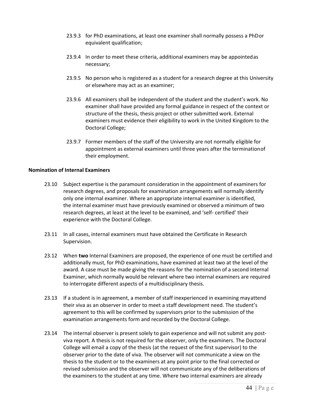- 23.9.3 for PhD examinations, at least one examiner shall normally possess a PhDor equivalent qualification;
- 23.9.4 In order to meet these criteria, additional examiners may be appointedas necessary;
- 23.9.5 No person who is registered as a student for a research degree at this University or elsewhere may act as an examiner;
- 23.9.6 All examiners shall be independent of the student and the student's work. No examiner shall have provided any formal guidance in respect of the context or structure of the thesis, thesis project or other submitted work. External examiners must evidence their eligibility to work in the United Kingdom to the Doctoral College;
- 23.9.7 Former members of the staff of the University are not normally eligible for appointment as external examiners until three years after the terminationof their employment.

#### **Nomination of Internal Examiners**

- 23.10 Subject expertise is the paramount consideration in the appointment of examiners for research degrees, and proposals for examination arrangements will normally identify only one internal examiner. Where an appropriate internal examiner is identified, the internal examiner must have previously examined or observed a minimum of two research degrees, at least at the level to be examined, and 'self- certified' their experience with the Doctoral College.
- 23.11 In all cases, internal examiners must have obtained the Certificate in Research Supervision.
- 23.12 When **two** Internal Examiners are proposed, the experience of one must be certified and additionally must, for PhD examinations, have examined at least two at the level of the award. A case must be made giving the reasons for the nomination of a second Internal Examiner, which normally would be relevant where two internal examiners are required to interrogate different aspects of a multidisciplinary thesis.
- 23.13 If a student is in agreement, a member of staff inexperienced in examining mayattend their viva as an observer in order to meet a staff development need. The student's agreement to this will be confirmed by supervisors prior to the submission of the examination arrangements form and recorded by the Doctoral College.
- 23.14 The internal observer is present solely to gain experience and will not submit any postviva report. A thesis is not required for the observer, only the examiners. The Doctoral College will email a copy of the thesis (at the request of the first supervisor) to the observer prior to the date of viva. The observer will not communicate a view on the thesis to the student or to the examiners at any point prior to the final corrected or revised submission and the observer will not communicate any of the deliberations of the examiners to the student at any time. Where two internal examiners are already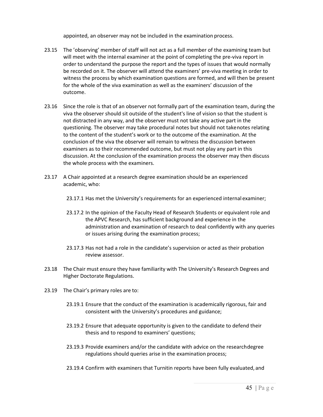appointed, an observer may not be included in the examination process.

- 23.15 The 'observing' member of staff will not act as a full member of the examining team but will meet with the internal examiner at the point of completing the pre-viva report in order to understand the purpose the report and the types of issues that would normally be recorded on it. The observer will attend the examiners' pre-viva meeting in order to witness the process by which examination questions are formed, and will then be present for the whole of the viva examination as well as the examiners' discussion of the outcome.
- 23.16 Since the role is that of an observer not formally part of the examination team, during the viva the observer should sit outside of the student's line of vision so that the student is not distracted in any way, and the observer must not take any active part in the questioning. The observer may take procedural notes but should not takenotes relating to the content of the student's work or to the outcome of the examination. At the conclusion of the viva the observer will remain to witness the discussion between examiners as to their recommended outcome, but must not play any part in this discussion. At the conclusion of the examination process the observer may then discuss the whole process with the examiners.
- 23.17 A Chair appointed at a research degree examination should be an experienced academic, who:
	- 23.17.1 Has met the University's requirements for an experienced internal examiner;
	- 23.17.2 In the opinion of the Faculty Head of Research Students or equivalent role and the APVC Research, has sufficient background and experience in the administration and examination of research to deal confidently with any queries or issues arising during the examination process;
	- 23.17.3 Has not had a role in the candidate's supervision or acted as their probation review assessor.
- 23.18 The Chair must ensure they have familiarity with The University's Research Degrees and Higher Doctorate Regulations.
- 23.19 The Chair's primary roles are to:
	- 23.19.1 Ensure that the conduct of the examination is academically rigorous, fair and consistent with the University's procedures and guidance;
	- 23.19.2 Ensure that adequate opportunity is given to the candidate to defend their thesis and to respond to examiners' questions;
	- 23.19.3 Provide examiners and/or the candidate with advice on the researchdegree regulations should queries arise in the examination process;
	- 23.19.4 Confirm with examiners that Turnitin reports have been fully evaluated, and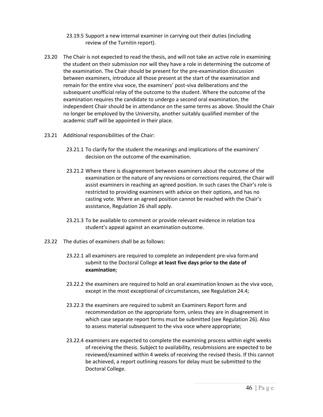- 23.19.5 Support a new internal examiner in carrying out their duties (including review of the Turnitin report).
- 23.20 The Chair is not expected to read the thesis, and will not take an active role in examining the student on their submission nor will they have a role in determining the outcome of the examination. The Chair should be present for the pre-examination discussion between examiners, introduce all those present at the start of the examination and remain for the entire viva voce, the examiners' post-viva deliberations and the subsequent unofficial relay of the outcome to the student. Where the outcome of the examination requires the candidate to undergo a second oral examination, the independent Chair should be in attendance on the same terms as above. Should the Chair no longer be employed by the University, another suitably qualified member of the academic staff will be appointed in their place.
- 23.21 Additional responsibilities of the Chair:
	- 23.21.1 To clarify for the student the meanings and implications of the examiners' decision on the outcome of the examination.
	- 23.21.2 Where there is disagreement between examiners about the outcome of the examination or the nature of any revisions or corrections required, the Chair will assist examiners in reaching an agreed position. In such cases the Chair's role is restricted to providing examiners with advice on their options, and has no casting vote. Where an agreed position cannot be reached with the Chair's assistance, Regulation 26 shall apply.
	- 23.21.3 To be available to comment or provide relevant evidence in relation toa student's appeal against an examination outcome.
- 23.22 The duties of examiners shall be as follows:
	- 23.22.1 all examiners are required to complete an independent pre-viva formand submit to the Doctoral College **at least five days prior to the date of examination**;
	- 23.22.2 the examiners are required to hold an oral examination known as the viva voce, except in the most exceptional of circumstances, see Regulation 24.4;
	- 23.22.3 the examiners are required to submit an Examiners Report form and recommendation on the appropriate form, unless they are in disagreement in which case separate report forms must be submitted (see Regulation 26). Also to assess material subsequent to the viva voce where appropriate;
	- 23.22.4 examiners are expected to complete the examining process within eight weeks of receiving the thesis. Subject to availability, resubmissions are expected to be reviewed/examined within 4 weeks of receiving the revised thesis. If this cannot be achieved, a report outlining reasons for delay must be submitted to the Doctoral College.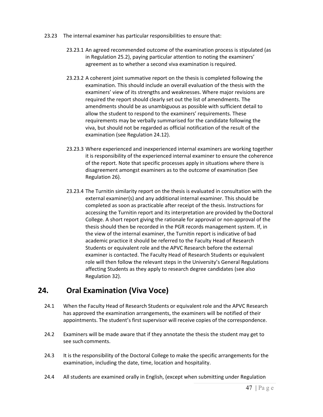- 23.23 The internal examiner has particular responsibilities to ensure that:
	- 23.23.1 An agreed recommended outcome of the examination process is stipulated (as in Regulation 25.2), paying particular attention to noting the examiners' agreement as to whether a second viva examination is required.
	- 23.23.2 A coherent joint summative report on the thesis is completed following the examination. This should include an overall evaluation of the thesis with the examiners' view of its strengths and weaknesses. Where major revisions are required the report should clearly set out the list of amendments. The amendments should be as unambiguous as possible with sufficient detail to allow the student to respond to the examiners' requirements. These requirements may be verbally summarised for the candidate following the viva, but should not be regarded as official notification of the result of the examination (see Regulation 24.12).
	- 23.23.3 Where experienced and inexperienced internal examiners are working together it is responsibility of the experienced internal examiner to ensure the coherence of the report. Note that specific processes apply in situations where there is disagreement amongst examiners as to the outcome of examination (See Regulation 26).
	- 23.23.4 The Turnitin similarity report on the thesis is evaluated in consultation with the external examiner(s) and any additional internal examiner. This should be completed as soon as practicable after receipt of the thesis. Instructions for accessing the Turnitin report and its interpretation are provided by the Doctoral College. A short report giving the rationale for approval or non-approval of the thesis should then be recorded in the PGR records management system. If, in the view of the internal examiner, the Turnitin report is indicative of bad academic practice it should be referred to the Faculty Head of Research Students or equivalent role and the APVC Research before the external examiner is contacted. The Faculty Head of Research Students or equivalent role will then follow the relevant steps in the University's General Regulations affecting Students as they apply to research degree candidates (see also Regulation 32).

### **24. Oral Examination (Viva Voce)**

- 24.1 When the Faculty Head of Research Students or equivalent role and the APVC Research has approved the examination arrangements, the examiners will be notified of their appointments. The student's first supervisor will receive copies of the correspondence.
- 24.2 Examiners will be made aware that if they annotate the thesis the student may get to see such comments.
- 24.3 It is the responsibility of the Doctoral College to make the specific arrangements for the examination, including the date, time, location and hospitality.
- 24.4 All students are examined orally in English, (except when submitting under Regulation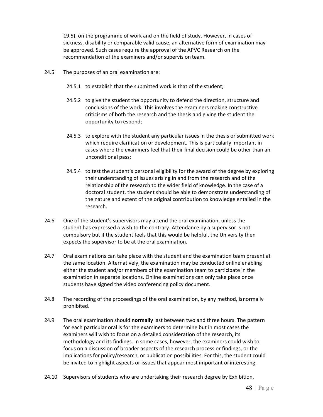19.5), on the programme of work and on the field of study. However, in cases of sickness, disability or comparable valid cause, an alternative form of examination may be approved. Such cases require the approval of the APVC Research on the recommendation of the examiners and/or supervision team.

- 24.5 The purposes of an oral examination are:
	- 24.5.1 to establish that the submitted work is that of the student;
	- 24.5.2 to give the student the opportunity to defend the direction, structure and conclusions of the work. This involves the examiners making constructive criticisms of both the research and the thesis and giving the student the opportunity to respond;
	- 24.5.3 to explore with the student any particular issues in the thesis or submitted work which require clarification or development. This is particularly important in cases where the examiners feel that their final decision could be other than an unconditional pass;
	- 24.5.4 to test the student's personal eligibility for the award of the degree by exploring their understanding of issues arising in and from the research and of the relationship of the research to the wider field of knowledge. In the case of a doctoral student, the student should be able to demonstrate understanding of the nature and extent of the original contribution to knowledge entailed in the research.
- 24.6 One of the student's supervisors may attend the oral examination, unless the student has expressed a wish to the contrary. Attendance by a supervisor is not compulsory but if the student feels that this would be helpful, the University then expects the supervisor to be at the oral examination.
- 24.7 Oral examinations can take place with the student and the examination team present at the same location. Alternatively, the examination may be conducted online enabling either the student and/or members of the examination team to participate in the examination in separate locations. Online examinations can only take place once students have signed the video conferencing policy document.
- 24.8 The recording of the proceedings of the oral examination, by any method, isnormally prohibited.
- 24.9 The oral examination should **normally** last between two and three hours. The pattern for each particular oral is for the examiners to determine but in most cases the examiners will wish to focus on a detailed consideration of the research, its methodology and its findings. In some cases, however, the examiners could wish to focus on a discussion of broader aspects of the research process or findings, or the implications for policy/research, or publication possibilities. For this, the student could be invited to highlight aspects or issues that appear most important orinteresting.
- 24.10 Supervisors of students who are undertaking their research degree by Exhibition,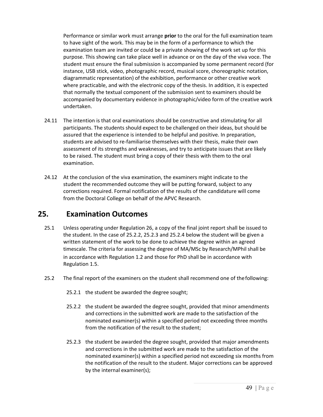Performance or similar work must arrange **prior** to the oral for the full examination team to have sight of the work. This may be in the form of a performance to which the examination team are invited or could be a private showing of the work set up for this purpose. This showing can take place well in advance or on the day of the viva voce. The student must ensure the final submission is accompanied by some permanent record (for instance, USB stick, video, photographic record, musical score, choreographic notation, diagrammatic representation) of the exhibition, performance or other creative work where practicable, and with the electronic copy of the thesis. In addition, it is expected that normally the textual component of the submission sent to examiners should be accompanied by documentary evidence in photographic/video form of the creative work undertaken.

- 24.11 The intention is that oral examinations should be constructive and stimulating for all participants. The students should expect to be challenged on their ideas, but should be assured that the experience is intended to be helpful and positive. In preparation, students are advised to re-familiarise themselves with their thesis, make their own assessment of its strengths and weaknesses, and try to anticipate issues that are likely to be raised. The student must bring a copy of their thesis with them to the oral examination.
- 24.12 At the conclusion of the viva examination, the examiners might indicate to the student the recommended outcome they will be putting forward, subject to any corrections required. Formal notification of the results of the candidature will come from the Doctoral College on behalf of the APVC Research.

### **25. Examination Outcomes**

- 25.1 Unless operating under Regulation 26, a copy of the final joint report shall be issued to the student. In the case of 25.2.2, 25.2.3 and 25.2.4 below the student will be given a written statement of the work to be done to achieve the degree within an agreed timescale. The criteria for assessing the degree of MA/MSc by Research/MPhil shall be in accordance with Regulation 1.2 and those for PhD shall be in accordance with Regulation 1.5.
- 25.2 The final report of the examiners on the student shall recommend one of thefollowing:
	- 25.2.1 the student be awarded the degree sought;
	- 25.2.2 the student be awarded the degree sought, provided that minor amendments and corrections in the submitted work are made to the satisfaction of the nominated examiner(s) within a specified period not exceeding three months from the notification of the result to the student;
	- 25.2.3 the student be awarded the degree sought, provided that major amendments and corrections in the submitted work are made to the satisfaction of the nominated examiner(s) within a specified period not exceeding six months from the notification of the result to the student. Major corrections can be approved by the internal examiner(s);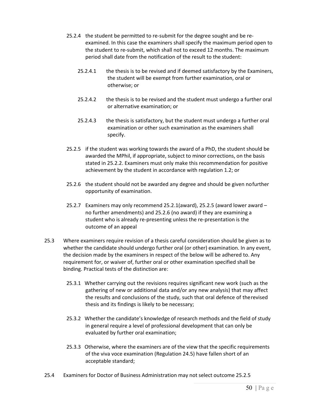- 25.2.4 the student be permitted to re-submit for the degree sought and be reexamined. In this case the examiners shall specify the maximum period open to the student to re-submit, which shall not to exceed 12 months. The maximum period shall date from the notification of the result to the student:
	- 25.2.4.1 the thesis is to be revised and if deemed satisfactory by the Examiners, the student will be exempt from further examination, oral or otherwise; or
	- 25.2.4.2 the thesis is to be revised and the student must undergo a further oral or alternative examination; or
	- 25.2.4.3 the thesis is satisfactory, but the student must undergo a further oral examination or other such examination as the examiners shall specify.
- 25.2.5 if the student was working towards the award of a PhD, the student should be awarded the MPhil, if appropriate, subject to minor corrections, on the basis stated in 25.2.2. Examiners must only make this recommendation for positive achievement by the student in accordance with regulation 1.2; or
- 25.2.6 the student should not be awarded any degree and should be given nofurther opportunity of examination.
- 25.2.7 Examiners may only recommend 25.2.1(award), 25.2.5 (award lower award no further amendments) and 25.2.6 (no award) if they are examining a student who is already re-presenting unless the re-presentation is the outcome of an appeal
- 25.3 Where examiners require revision of a thesis careful consideration should be given as to whether the candidate should undergo further oral (or other) examination. In any event, the decision made by the examiners in respect of the below will be adhered to. Any requirement for, or waiver of, further oral or other examination specified shall be binding. Practical tests of the distinction are:
	- 25.3.1 Whether carrying out the revisions requires significant new work (such as the gathering of new or additional data and/or any new analysis) that may affect the results and conclusions of the study, such that oral defence of therevised thesis and its findings is likely to be necessary;
	- 25.3.2 Whether the candidate's knowledge of research methods and the field of study in general require a level of professional development that can only be evaluated by further oral examination;
	- 25.3.3 Otherwise, where the examiners are of the view that the specific requirements of the viva voce examination (Regulation 24.5) have fallen short of an acceptable standard;
- 25.4 Examiners for Doctor of Business Administration may not select outcome 25.2.5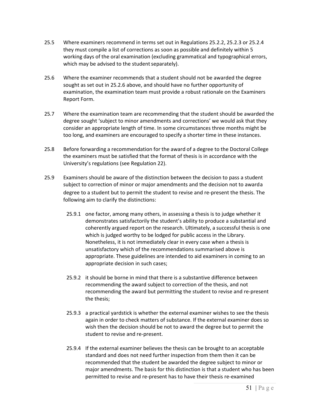- 25.5 Where examiners recommend in terms set out in Regulations 25.2.2, 25.2.3 or 25.2.4 they must compile a list of corrections as soon as possible and definitely within 5 working days of the oral examination (excluding grammatical and typographical errors, which may be advised to the student separately).
- 25.6 Where the examiner recommends that a student should not be awarded the degree sought as set out in 25.2.6 above, and should have no further opportunity of examination, the examination team must provide a robust rationale on the Examiners Report Form.
- 25.7 Where the examination team are recommending that the student should be awarded the degree sought 'subject to minor amendments and corrections' we would ask that they consider an appropriate length of time. In some circumstances three months might be too long, and examiners are encouraged to specify a shorter time in these instances.
- 25.8 Before forwarding a recommendation for the award of a degree to the Doctoral College the examiners must be satisfied that the format of thesis is in accordance with the University's regulations (see Regulation 22).
- 25.9 Examiners should be aware of the distinction between the decision to pass a student subject to correction of minor or major amendments and the decision not to awarda degree to a student but to permit the student to revise and re-present the thesis. The following aim to clarify the distinctions:
	- 25.9.1 one factor, among many others, in assessing a thesis is to judge whether it demonstrates satisfactorily the student's ability to produce a substantial and coherently argued report on the research. Ultimately, a successful thesis is one which is judged worthy to be lodged for public access in the Library. Nonetheless, it is not immediately clear in every case when a thesis is unsatisfactory which of the recommendations summarised above is appropriate. These guidelines are intended to aid examiners in coming to an appropriate decision in such cases;
	- 25.9.2 it should be borne in mind that there is a substantive difference between recommending the award subject to correction of the thesis, and not recommending the award but permitting the student to revise and re-present the thesis;
	- 25.9.3 a practical yardstick is whether the external examiner wishes to see the thesis again in order to check matters of substance. If the external examiner does so wish then the decision should be not to award the degree but to permit the student to revise and re-present.
	- 25.9.4 If the external examiner believes the thesis can be brought to an acceptable standard and does not need further inspection from them then it can be recommended that the student be awarded the degree subject to minor or major amendments. The basis for this distinction is that a student who has been permitted to revise and re-present has to have their thesis re-examined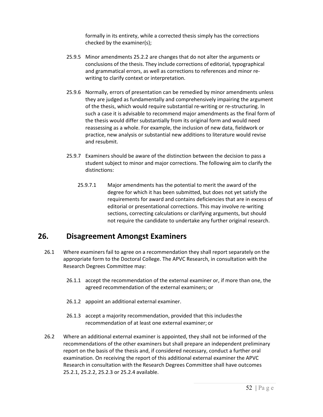formally in its entirety, while a corrected thesis simply has the corrections checked by the examiner(s);

- 25.9.5 Minor amendments 25.2.2 are changes that do not alter the arguments or conclusions of the thesis. They include corrections of editorial, typographical and grammatical errors, as well as corrections to references and minor rewriting to clarify context or interpretation.
- 25.9.6 Normally, errors of presentation can be remedied by minor amendments unless they are judged as fundamentally and comprehensively impairing the argument of the thesis, which would require substantial re-writing or re-structuring. In such a case it is advisable to recommend major amendments as the final form of the thesis would differ substantially from its original form and would need reassessing as a whole. For example, the inclusion of new data, fieldwork or practice, new analysis or substantial new additions to literature would revise and resubmit.
- 25.9.7 Examiners should be aware of the distinction between the decision to pass a student subject to minor and major corrections. The following aim to clarify the distinctions:
	- 25.9.7.1 Major amendments has the potential to merit the award of the degree for which it has been submitted, but does not yet satisfy the requirements for award and contains deficiencies that are in excess of editorial or presentational corrections. This may involve re-writing sections, correcting calculations or clarifying arguments, but should not require the candidate to undertake any further original research.

### **26. Disagreement Amongst Examiners**

- 26.1 Where examiners fail to agree on a recommendation they shall report separately on the appropriate form to the Doctoral College. The APVC Research, in consultation with the Research Degrees Committee may:
	- 26.1.1 accept the recommendation of the external examiner or, if more than one, the agreed recommendation of the external examiners; or
	- 26.1.2 appoint an additional external examiner.
	- 26.1.3 accept a majority recommendation, provided that this includesthe recommendation of at least one external examiner; or
- 26.2 Where an additional external examiner is appointed, they shall not be informed of the recommendations of the other examiners but shall prepare an independent preliminary report on the basis of the thesis and, if considered necessary, conduct a further oral examination. On receiving the report of this additional external examiner the APVC Research in consultation with the Research Degrees Committee shall have outcomes 25.2.1, 25.2.2, 25.2.3 or 25.2.4 available.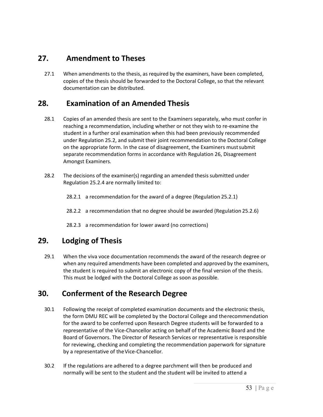### **27. Amendment to Theses**

27.1 When amendments to the thesis, as required by the examiners, have been completed, copies of the thesis should be forwarded to the Doctoral College, so that the relevant documentation can be distributed.

### **28. Examination of an Amended Thesis**

- 28.1 Copies of an amended thesis are sent to the Examiners separately, who must confer in reaching a recommendation, including whether or not they wish to re-examine the student in a further oral examination when this had been previously recommended under Regulation 25.2, and submit their joint recommendation to the Doctoral College on the appropriate form. In the case of disagreement, the Examiners mustsubmit separate recommendation forms in accordance with Regulation 26, Disagreement Amongst Examiners*.*
- 28.2 The decisions of the examiner(s) regarding an amended thesis submitted under Regulation 25.2.4 are normally limited to:
	- 28.2.1 a recommendation for the award of a degree (Regulation 25.2.1)
	- 28.2.2 a recommendation that no degree should be awarded (Regulation 25.2.6)
	- 28.2.3 a recommendation for lower award (no corrections)

### **29. Lodging of Thesis**

29.1 When the viva voce documentation recommends the award of the research degree or when any required amendments have been completed and approved by the examiners, the student is required to submit an electronic copy of the final version of the thesis. This must be lodged with the Doctoral College as soon as possible.

### **30. Conferment of the Research Degree**

- 30.1 Following the receipt of completed examination documents and the electronic thesis, the form DMU REC will be completed by the Doctoral College and therecommendation for the award to be conferred upon Research Degree students will be forwarded to a representative of the Vice-Chancellor acting on behalf of the Academic Board and the Board of Governors. The Director of Research Services or representative is responsible for reviewing, checking and completing the recommendation paperwork for signature by a representative of theVice-Chancellor*.*
- 30.2 If the regulations are adhered to a degree parchment will then be produced and normally will be sent to the student and the student will be invited to attend a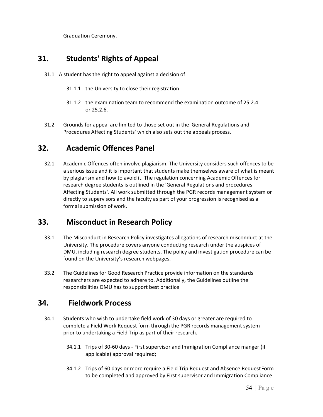Graduation Ceremony.

### **31. Students' Rights of Appeal**

- 31.1 A student has the right to appeal against a decision of:
	- 31.1.1 the University to close their registration
	- 31.1.2 the examination team to recommend the examination outcome of 25.2.4 or 25.2.6.
- 31.2 Grounds for appeal are limited to those set out in the 'General Regulations and Procedures Affecting Students' which also sets out the appeals process.

### **32. Academic Offences Panel**

32.1 Academic Offences often involve plagiarism. The University considers such offences to be a serious issue and it is important that students make themselves aware of what is meant by plagiarism and how to avoid it. The regulation concerning Academic Offences for research degree students is outlined in the 'General Regulations and procedures Affecting Students'. All work submitted through the PGR records management system or directly to supervisors and the faculty as part of your progression is recognised as a formal submission of work.

### **33. Misconduct in Research Policy**

- 33.1 The Misconduct in Research Policy investigates allegations of research misconduct at the University. The procedure covers anyone conducting research under the auspices of DMU, including research degree students. The policy and investigation procedure can be found on the University's research webpages.
- 33.2 The Guidelines for Good Research Practice provide information on the standards researchers are expected to adhere to. Additionally, the Guidelines outline the responsibilities DMU has to support best practice

### **34. Fieldwork Process**

- 34.1 Students who wish to undertake field work of 30 days or greater are required to complete a Field Work Request form through the PGR records management system prior to undertaking a Field Trip as part of their research.
	- 34.1.1 Trips of 30-60 days First supervisor and Immigration Compliance manger (if applicable) approval required;
	- 34.1.2 Trips of 60 days or more require a Field Trip Request and Absence RequestForm to be completed and approved by First supervisor and Immigration Compliance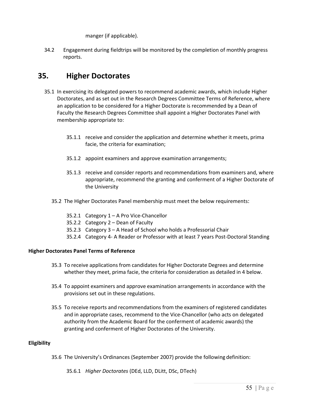manger (if applicable).

34.2 Engagement during fieldtrips will be monitored by the completion of monthly progress reports.

### **35. Higher Doctorates**

- 35.1 In exercising its delegated powers to recommend academic awards, which include Higher Doctorates, and as set out in the Research Degrees Committee Terms of Reference, where an application to be considered for a Higher Doctorate is recommended by a Dean of Faculty the Research Degrees Committee shall appoint a Higher Doctorates Panel with membership appropriate to:
	- 35.1.1 receive and consider the application and determine whether it meets, prima facie, the criteria for examination;
	- 35.1.2 appoint examiners and approve examination arrangements;
	- 35.1.3 receive and consider reports and recommendations from examiners and, where appropriate, recommend the granting and conferment of a Higher Doctorate of the University
	- 35.2 The Higher Doctorates Panel membership must meet the below requirements:
		- 35.2.1 Category 1 A Pro Vice-Chancellor
		- 35.2.2 Category 2 Dean of Faculty
		- 35.2.3 Category 3 A Head of School who holds a Professorial Chair
		- 35.2.4 Category 4- A Reader or Professor with at least 7 years Post-Doctoral Standing

#### **Higher Doctorates Panel Terms of Reference**

- 35.3 To receive applications from candidates for Higher Doctorate Degrees and determine whether they meet, prima facie, the criteria for consideration as detailed in 4 below.
- 35.4 To appoint examiners and approve examination arrangements in accordance with the provisions set out in these regulations.
- 35.5 To receive reports and recommendations from the examiners of registered candidates and in appropriate cases, recommend to the Vice-Chancellor (who acts on delegated authority from the Academic Board for the conferment of academic awards) the granting and conferment of Higher Doctorates of the University.

#### **Eligibility**

- 35.6 The University's Ordinances (September 2007) provide the following definition:
	- 35.6.1 *Higher Doctorates* (DEd, LLD, DLitt, DSc, DTech)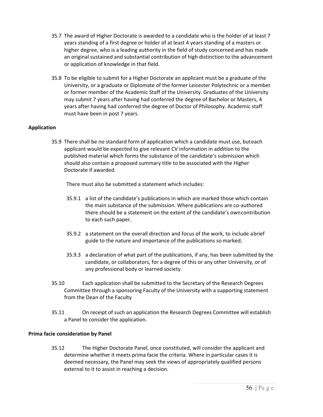- 35.7 The award of Higher Doctorate is awarded to a candidate who is the holder of at least 7 years standing of a first degree or holder of at least 4 years standing of a masters or higher degree, who is a leading authority in the field of study concerned and has made an original sustained and substantial contribution of high distinction to the advancement or application of knowledge in that field.
- 35.8 To be eligible to submit for a Higher Doctorate an applicant must be a graduate of the University, or a graduate or Diplomate of the former Leicester Polytechnic or a member or former member of the Academic Staff of the University. Graduates of the University may submit 7 years after having had conferred the degree of Bachelor or Masters, 4 years after having had conferred the degree of Doctor of Philosophy. Academic staff must have been in post 7 years.

#### **Application**

35.9 There shall be no standard form of application which a candidate must use, buteach applicant would be expected to give relevant CV information in addition to the published material which forms the substance of the candidate's submission which should also contain a proposed summary title to be associated with the Higher Doctorate if awarded.

There must also be submitted a statement which includes:

- 35.9.1 a list of the candidate's publications in which are marked those which contain the main substance of the submission. Where publications are co-authored there should be a statement on the extent of the candidate's owncontribution to each such paper.
- 35.9.2 a statement on the overall direction and focus of the work, to include abrief guide to the nature and importance of the publications so marked;
- 35.9.3 a declaration of what part of the publications, if any, has been submitted by the candidate, or collaborators, for a degree of this or any other University, or of any professional body or learned society.
- 35.10 Each application shall be submitted to the Secretary of the Research Degrees Committee through a sponsoring Faculty of the University with a supporting statement from the Dean of the Faculty
- 35.11 On receipt of such an application the Research Degrees Committee will establish a Panel to consider the application.

#### **Prima facie consideration by Panel**

35.12 The Higher Doctorate Panel, once constituted, will consider the applicant and determine whether it meets prima facie the criteria. Where in particular cases it is deemed necessary, the Panel may seek the views of appropriately qualified persons external to it to assist in reaching a decision.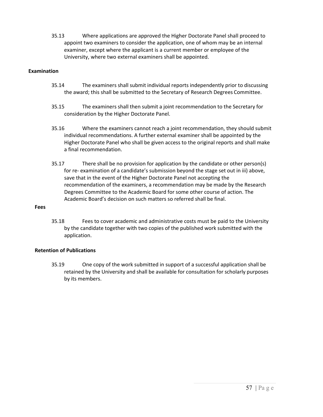35.13 Where applications are approved the Higher Doctorate Panel shall proceed to appoint two examiners to consider the application, one of whom may be an internal examiner, except where the applicant is a current member or employee of the University, where two external examiners shall be appointed.

#### **Examination**

- 35.14 The examiners shall submit individual reports independently prior to discussing the award; this shall be submitted to the Secretary of Research Degrees Committee.
- 35.15 The examiners shall then submit a joint recommendation to the Secretary for consideration by the Higher Doctorate Panel.
- 35.16 Where the examiners cannot reach a joint recommendation, they should submit individual recommendations. A further external examiner shall be appointed by the Higher Doctorate Panel who shall be given access to the original reports and shall make a final recommendation.
- 35.17 There shall be no provision for application by the candidate or other person(s) for re- examination of a candidate's submission beyond the stage set out in iii) above, save that in the event of the Higher Doctorate Panel not accepting the recommendation of the examiners, a recommendation may be made by the Research Degrees Committee to the Academic Board for some other course of action. The Academic Board's decision on such matters so referred shall be final.

#### **Fees**

35.18 Fees to cover academic and administrative costs must be paid to the University by the candidate together with two copies of the published work submitted with the application.

#### **Retention of Publications**

35.19 One copy of the work submitted in support of a successful application shall be retained by the University and shall be available for consultation for scholarly purposes by its members.